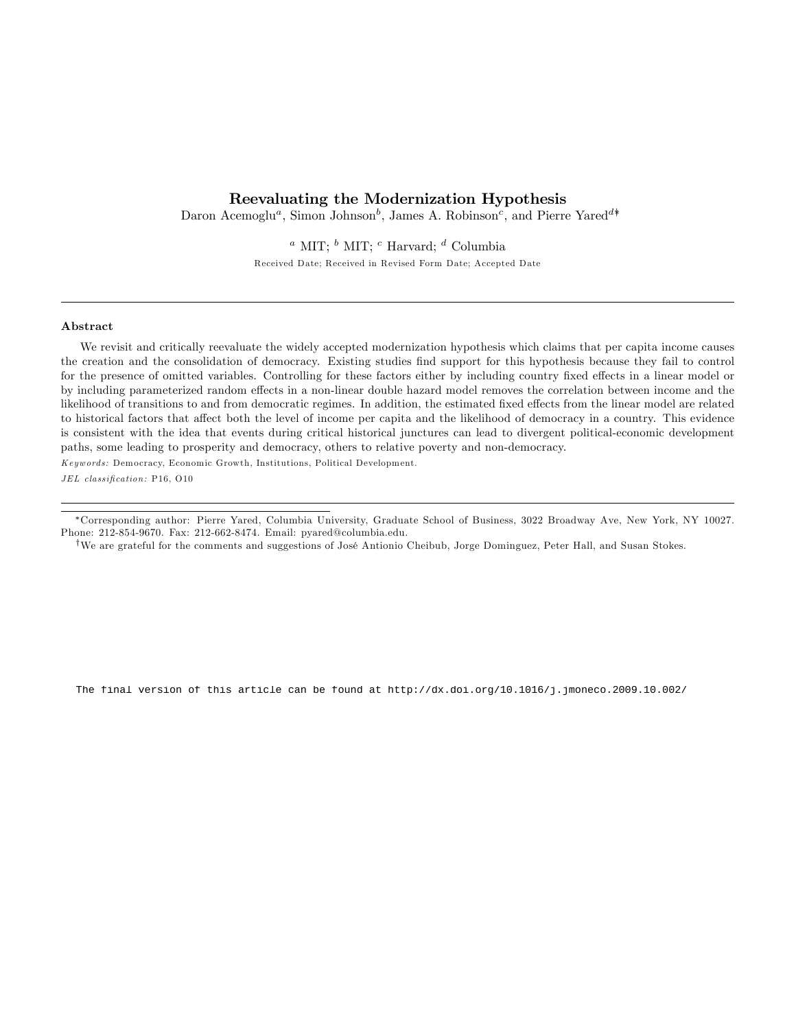# Reevaluating the Modernization Hypothesis

Daron Acemoglu<sup>a</sup>, Simon Johnson<sup>b</sup>, James A. Robinson<sup>c</sup>, and Pierre Yared<sup>d\*</sup>

<sup>*a*</sup> MIT; <sup>*b*</sup> MIT; <sup>*c*</sup> Harvard; <sup>*d*</sup> Columbia

Received Date; Received in Revised Form Date; Accepted Date

### Abstract

We revisit and critically reevaluate the widely accepted modernization hypothesis which claims that per capita income causes the creation and the consolidation of democracy. Existing studies find support for this hypothesis because they fail to control for the presence of omitted variables. Controlling for these factors either by including country fixed effects in a linear model or by including parameterized random effects in a non-linear double hazard model removes the correlation between income and the likelihood of transitions to and from democratic regimes. In addition, the estimated fixed effects from the linear model are related to historical factors that affect both the level of income per capita and the likelihood of democracy in a country. This evidence is consistent with the idea that events during critical historical junctures can lead to divergent political-economic development paths, some leading to prosperity and democracy, others to relative poverty and non-democracy.

Keywords: Democracy, Economic Growth, Institutions, Political Development.

 $JEL\ classification\colon P16,\ O10$ 

Corresponding author: Pierre Yared, Columbia University, Graduate School of Business, 3022 Broadway Ave, New York, NY 10027. Phone: 212-854-9670. Fax: 212-662-8474. Email: pyared@columbia.edu.

The final version of this article can be found at http://dx.doi.org/10.1016/j.jmoneco.2009.10.002/

<sup>&</sup>lt;sup>†</sup>We are grateful for the comments and suggestions of José Antionio Cheibub, Jorge Dominguez, Peter Hall, and Susan Stokes.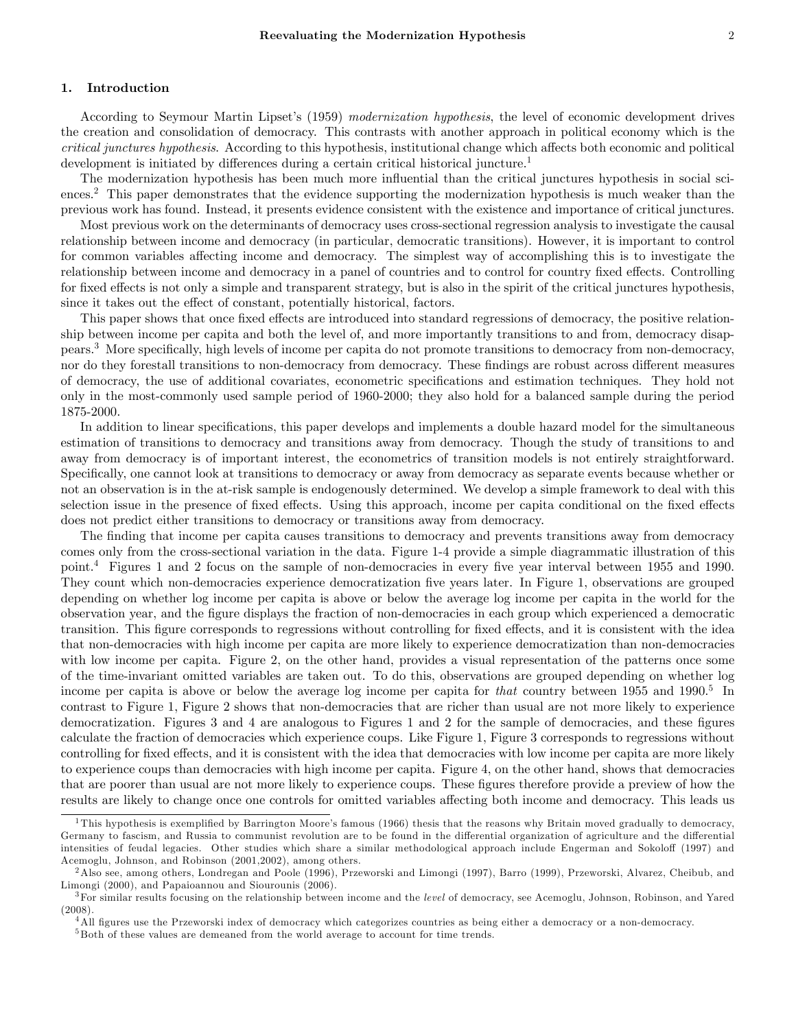### 1. Introduction

According to Seymour Martin Lipset's (1959) modernization hypothesis, the level of economic development drives the creation and consolidation of democracy. This contrasts with another approach in political economy which is the critical junctures hypothesis. According to this hypothesis, institutional change which affects both economic and political development is initiated by differences during a certain critical historical juncture.<sup>1</sup>

The modernization hypothesis has been much more influential than the critical junctures hypothesis in social sciences.<sup>2</sup> This paper demonstrates that the evidence supporting the modernization hypothesis is much weaker than the previous work has found. Instead, it presents evidence consistent with the existence and importance of critical junctures.

Most previous work on the determinants of democracy uses cross-sectional regression analysis to investigate the causal relationship between income and democracy (in particular, democratic transitions). However, it is important to control for common variables affecting income and democracy. The simplest way of accomplishing this is to investigate the relationship between income and democracy in a panel of countries and to control for country fixed effects. Controlling for fixed effects is not only a simple and transparent strategy, but is also in the spirit of the critical junctures hypothesis, since it takes out the effect of constant, potentially historical, factors.

This paper shows that once fixed effects are introduced into standard regressions of democracy, the positive relationship between income per capita and both the level of, and more importantly transitions to and from, democracy disappears.<sup>3</sup> More speciÖcally, high levels of income per capita do not promote transitions to democracy from non-democracy, nor do they forestall transitions to non-democracy from democracy. These findings are robust across different measures of democracy, the use of additional covariates, econometric speciÖcations and estimation techniques. They hold not only in the most-commonly used sample period of 1960-2000; they also hold for a balanced sample during the period 1875-2000.

In addition to linear specifications, this paper develops and implements a double hazard model for the simultaneous estimation of transitions to democracy and transitions away from democracy. Though the study of transitions to and away from democracy is of important interest, the econometrics of transition models is not entirely straightforward. Specifically, one cannot look at transitions to democracy or away from democracy as separate events because whether or not an observation is in the at-risk sample is endogenously determined. We develop a simple framework to deal with this selection issue in the presence of fixed effects. Using this approach, income per capita conditional on the fixed effects does not predict either transitions to democracy or transitions away from democracy.

The finding that income per capita causes transitions to democracy and prevents transitions away from democracy comes only from the cross-sectional variation in the data. Figure 1-4 provide a simple diagrammatic illustration of this point.<sup>4</sup> Figures 1 and 2 focus on the sample of non-democracies in every five year interval between 1955 and 1990. They count which non-democracies experience democratization five years later. In Figure 1, observations are grouped depending on whether log income per capita is above or below the average log income per capita in the world for the observation year, and the Ögure displays the fraction of non-democracies in each group which experienced a democratic transition. This figure corresponds to regressions without controlling for fixed effects, and it is consistent with the idea that non-democracies with high income per capita are more likely to experience democratization than non-democracies with low income per capita. Figure 2, on the other hand, provides a visual representation of the patterns once some of the time-invariant omitted variables are taken out. To do this, observations are grouped depending on whether log income per capita is above or below the average log income per capita for *that* country between 1955 and 1990.<sup>5</sup> In contrast to Figure 1, Figure 2 shows that non-democracies that are richer than usual are not more likely to experience democratization. Figures 3 and 4 are analogous to Figures 1 and 2 for the sample of democracies, and these figures calculate the fraction of democracies which experience coups. Like Figure 1, Figure 3 corresponds to regressions without controlling for fixed effects, and it is consistent with the idea that democracies with low income per capita are more likely to experience coups than democracies with high income per capita. Figure 4, on the other hand, shows that democracies that are poorer than usual are not more likely to experience coups. These figures therefore provide a preview of how the results are likely to change once one controls for omitted variables affecting both income and democracy. This leads us

<sup>&</sup>lt;sup>1</sup>This hypothesis is exemplified by Barrington Moore's famous (1966) thesis that the reasons why Britain moved gradually to democracy, Germany to fascism, and Russia to communist revolution are to be found in the differential organization of agriculture and the differential intensities of feudal legacies. Other studies which share a similar methodological approach include Engerman and Sokoloff (1997) and Acemoglu, Johnson, and Robinson (2001,2002), among others.

<sup>&</sup>lt;sup>2</sup> Also see, among others, Londregan and Poole (1996), Przeworski and Limongi (1997), Barro (1999), Przeworski, Alvarez, Cheibub, and Limongi (2000), and Papaioannou and Siourounis (2006).

 $3$  For similar results focusing on the relationship between income and the level of democracy, see Acemoglu, Johnson, Robinson, and Yared (2008).

<sup>&</sup>lt;sup>4</sup>All figures use the Przeworski index of democracy which categorizes countries as being either a democracy or a non-democracy.

<sup>5</sup> Both of these values are demeaned from the world average to account for time trends.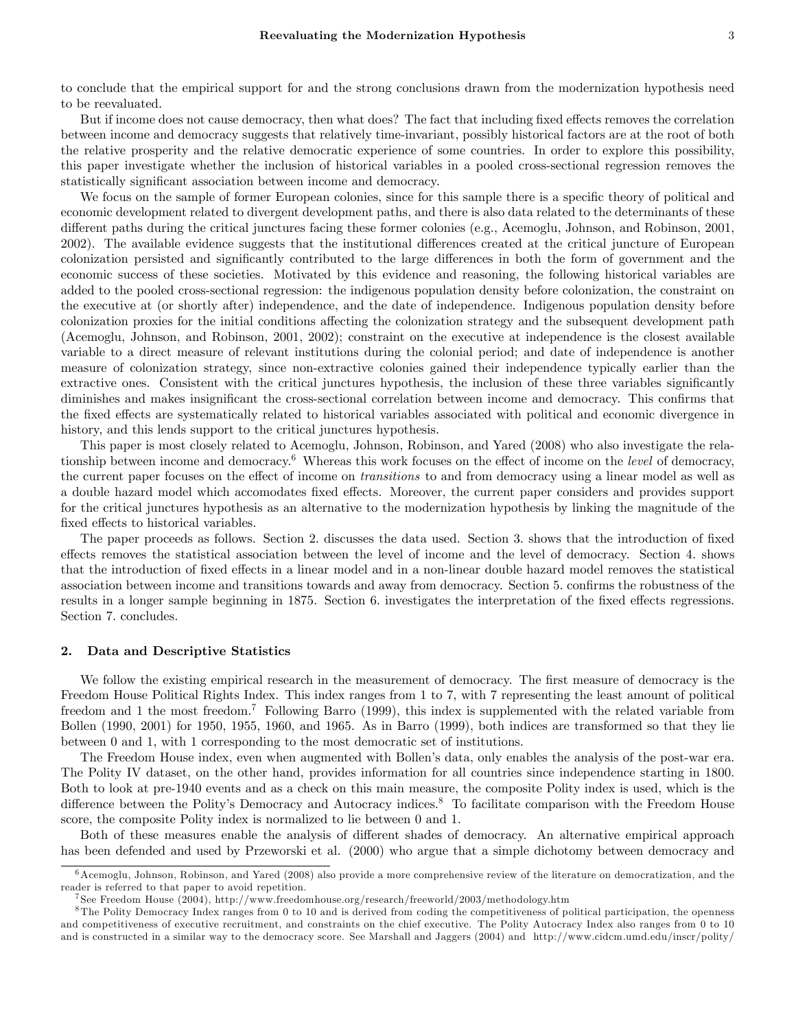to conclude that the empirical support for and the strong conclusions drawn from the modernization hypothesis need to be reevaluated.

But if income does not cause democracy, then what does? The fact that including fixed effects removes the correlation between income and democracy suggests that relatively time-invariant, possibly historical factors are at the root of both the relative prosperity and the relative democratic experience of some countries. In order to explore this possibility, this paper investigate whether the inclusion of historical variables in a pooled cross-sectional regression removes the statistically significant association between income and democracy.

We focus on the sample of former European colonies, since for this sample there is a specific theory of political and economic development related to divergent development paths, and there is also data related to the determinants of these different paths during the critical junctures facing these former colonies (e.g., Acemoglu, Johnson, and Robinson, 2001, 2002). The available evidence suggests that the institutional differences created at the critical juncture of European colonization persisted and significantly contributed to the large differences in both the form of government and the economic success of these societies. Motivated by this evidence and reasoning, the following historical variables are added to the pooled cross-sectional regression: the indigenous population density before colonization, the constraint on the executive at (or shortly after) independence, and the date of independence. Indigenous population density before colonization proxies for the initial conditions affecting the colonization strategy and the subsequent development path (Acemoglu, Johnson, and Robinson, 2001, 2002); constraint on the executive at independence is the closest available variable to a direct measure of relevant institutions during the colonial period; and date of independence is another measure of colonization strategy, since non-extractive colonies gained their independence typically earlier than the extractive ones. Consistent with the critical junctures hypothesis, the inclusion of these three variables significantly diminishes and makes insignificant the cross-sectional correlation between income and democracy. This confirms that the fixed effects are systematically related to historical variables associated with political and economic divergence in history, and this lends support to the critical junctures hypothesis.

This paper is most closely related to Acemoglu, Johnson, Robinson, and Yared (2008) who also investigate the relationship between income and democracy.<sup>6</sup> Whereas this work focuses on the effect of income on the *level* of democracy, the current paper focuses on the effect of income on *transitions* to and from democracy using a linear model as well as a double hazard model which accomodates fixed effects. Moreover, the current paper considers and provides support for the critical junctures hypothesis as an alternative to the modernization hypothesis by linking the magnitude of the fixed effects to historical variables.

The paper proceeds as follows. Section 2. discusses the data used. Section 3. shows that the introduction of fixed effects removes the statistical association between the level of income and the level of democracy. Section 4. shows that the introduction of fixed effects in a linear model and in a non-linear double hazard model removes the statistical association between income and transitions towards and away from democracy. Section 5. confirms the robustness of the results in a longer sample beginning in 1875. Section 6. investigates the interpretation of the fixed effects regressions. Section 7. concludes.

## 2. Data and Descriptive Statistics

We follow the existing empirical research in the measurement of democracy. The first measure of democracy is the Freedom House Political Rights Index. This index ranges from 1 to 7, with 7 representing the least amount of political freedom and 1 the most freedom.<sup>7</sup> Following Barro (1999), this index is supplemented with the related variable from Bollen (1990, 2001) for 1950, 1955, 1960, and 1965. As in Barro (1999), both indices are transformed so that they lie between 0 and 1, with 1 corresponding to the most democratic set of institutions.

The Freedom House index, even when augmented with Bollen's data, only enables the analysis of the post-war era. The Polity IV dataset, on the other hand, provides information for all countries since independence starting in 1800. Both to look at pre-1940 events and as a check on this main measure, the composite Polity index is used, which is the difference between the Polity's Democracy and Autocracy indices.<sup>8</sup> To facilitate comparison with the Freedom House score, the composite Polity index is normalized to lie between 0 and 1.

Both of these measures enable the analysis of different shades of democracy. An alternative empirical approach has been defended and used by Przeworski et al. (2000) who argue that a simple dichotomy between democracy and

 $6$  Acemoglu, Johnson, Robinson, and Yared (2008) also provide a more comprehensive review of the literature on democratization, and the reader is referred to that paper to avoid repetition.

<sup>7</sup> See Freedom House (2004), http://www.freedomhouse.org/research/freeworld/2003/methodology.htm

<sup>&</sup>lt;sup>8</sup>The Polity Democracy Index ranges from 0 to 10 and is derived from coding the competitiveness of political participation, the openness and competitiveness of executive recruitment, and constraints on the chief executive. The Polity Autocracy Index also ranges from 0 to 10 and is constructed in a similar way to the democracy score. See Marshall and Jaggers (2004) and http://www.cidcm.umd.edu/inscr/polity/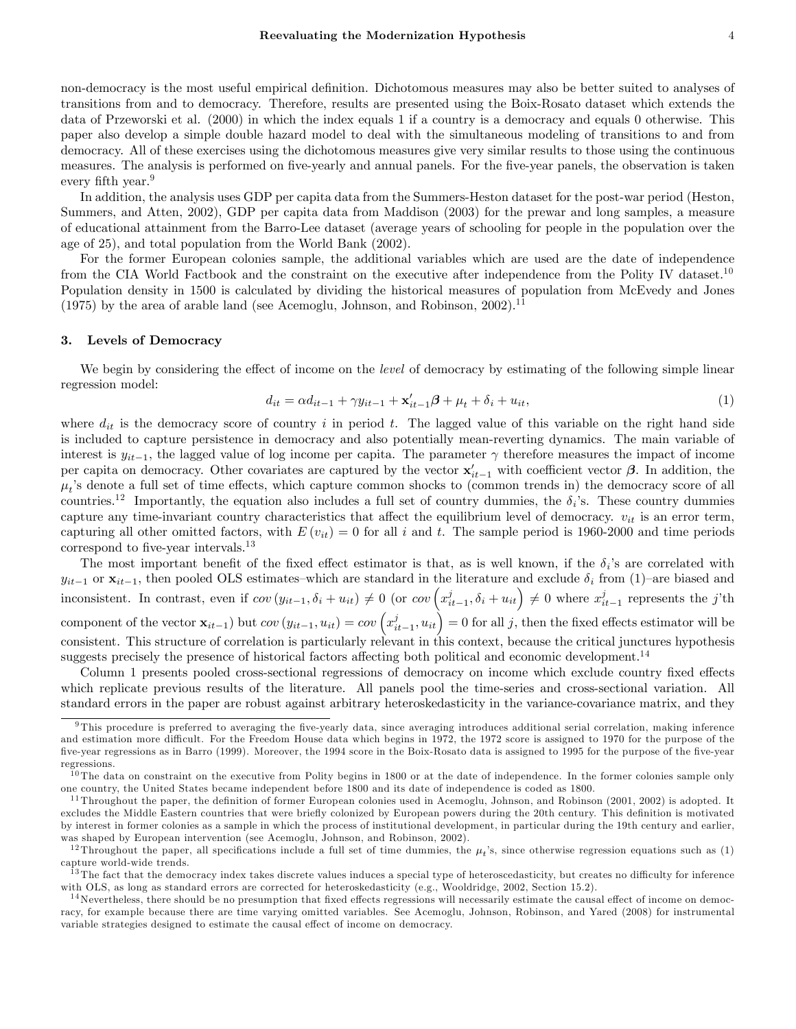non-democracy is the most useful empirical definition. Dichotomous measures may also be better suited to analyses of transitions from and to democracy. Therefore, results are presented using the Boix-Rosato dataset which extends the data of Przeworski et al. (2000) in which the index equals 1 if a country is a democracy and equals 0 otherwise. This paper also develop a simple double hazard model to deal with the simultaneous modeling of transitions to and from democracy. All of these exercises using the dichotomous measures give very similar results to those using the continuous measures. The analysis is performed on five-yearly and annual panels. For the five-year panels, the observation is taken every fifth year.<sup>9</sup>

In addition, the analysis uses GDP per capita data from the Summers-Heston dataset for the post-war period (Heston, Summers, and Atten, 2002), GDP per capita data from Maddison (2003) for the prewar and long samples, a measure of educational attainment from the Barro-Lee dataset (average years of schooling for people in the population over the age of 25), and total population from the World Bank (2002).

For the former European colonies sample, the additional variables which are used are the date of independence from the CIA World Factbook and the constraint on the executive after independence from the Polity IV dataset.<sup>10</sup> Population density in 1500 is calculated by dividing the historical measures of population from McEvedy and Jones  $(1975)$  by the area of arable land (see Acemoglu, Johnson, and Robinson, 2002).<sup>11</sup>

## 3. Levels of Democracy

We begin by considering the effect of income on the level of democracy by estimating of the following simple linear regression model:

$$
d_{it} = \alpha d_{it-1} + \gamma y_{it-1} + \mathbf{x}'_{it-1} \boldsymbol{\beta} + \mu_t + \delta_i + u_{it},
$$
\n<sup>(1)</sup>

where  $d_{it}$  is the democracy score of country i in period t. The lagged value of this variable on the right hand side is included to capture persistence in democracy and also potentially mean-reverting dynamics. The main variable of interest is  $y_{it-1}$ , the lagged value of log income per capita. The parameter  $\gamma$  therefore measures the impact of income per capita on democracy. Other covariates are captured by the vector  $\mathbf{x}'_{it-1}$  with coefficient vector  $\beta$ . In addition, the  $\mu_t$ 's denote a full set of time effects, which capture common shocks to (common trends in) the democracy score of all countries.<sup>12</sup> Importantly, the equation also includes a full set of country dummies, the  $\delta_i$ 's. These country dummies capture any time-invariant country characteristics that affect the equilibrium level of democracy.  $v_{it}$  is an error term, capturing all other omitted factors, with  $E(v_{it}) = 0$  for all i and t. The sample period is 1960-2000 and time periods correspond to five-year intervals.<sup>13</sup>

The most important benefit of the fixed effect estimator is that, as is well known, if the  $\delta_i$ 's are correlated with  $y_{it-1}$  or  $\mathbf{x}_{it-1}$ , then pooled OLS estimates–which are standard in the literature and exclude  $\delta_i$  from (1)–are biased and inconsistent. In contrast, even if  $cov(y_{it-1}, \delta_i + u_{it}) \neq 0$  (or  $cov(x_{it-1}^j, \delta_i + u_{it}) \neq 0$  where  $x_{it-1}^j$  represents the j'th component of the vector  $\mathbf{x}_{it-1}$ ) but  $cov(y_{it-1}, u_{it}) = cov(x_{it-1}^j, u_{it}) = 0$  for all j, then the fixed effects estimator will be consistent. This structure of correlation is particularly relevant in this context, because the critical junctures hypothesis suggests precisely the presence of historical factors affecting both political and economic development.<sup>14</sup>

Column 1 presents pooled cross-sectional regressions of democracy on income which exclude country fixed effects which replicate previous results of the literature. All panels pool the time-series and cross-sectional variation. All standard errors in the paper are robust against arbitrary heteroskedasticity in the variance-covariance matrix, and they

 $9$ This procedure is preferred to averaging the five-yearly data, since averaging introduces additional serial correlation, making inference and estimation more difficult. For the Freedom House data which begins in 1972, the 1972 score is assigned to 1970 for the purpose of the five-year regressions as in Barro (1999). Moreover, the 1994 score in the Boix-Rosato data is assigned to 1995 for the purpose of the five-year regressions.

 $10$  The data on constraint on the executive from Polity begins in 1800 or at the date of independence. In the former colonies sample only one country, the United States became independent before 1800 and its date of independence is coded as 1800.

 $11$ Throughout the paper, the definition of former European colonies used in Acemoglu, Johnson, and Robinson (2001, 2002) is adopted. It excludes the Middle Eastern countries that were briefly colonized by European powers during the 20th century. This definition is motivated by interest in former colonies as a sample in which the process of institutional development, in particular during the 19th century and earlier, was shaped by European intervention (see Acemoglu, Johnson, and Robinson, 2002).

<sup>&</sup>lt;sup>12</sup>Throughout the paper, all specifications include a full set of time dummies, the  $\mu_t$ 's, since otherwise regression equations such as (1) capture world-wide trends.

<sup>&</sup>lt;sup>13</sup> The fact that the democracy index takes discrete values induces a special type of heteroscedasticity, but creates no difficulty for inference with OLS, as long as standard errors are corrected for heteroskedasticity (e.g., Wooldridge, 2002, Section 15.2).

 $^{14}$  Nevertheless, there should be no presumption that fixed effects regressions will necessarily estimate the causal effect of income on democracy, for example because there are time varying omitted variables. See Acemoglu, Johnson, Robinson, and Yared (2008) for instrumental variable strategies designed to estimate the causal effect of income on democracy.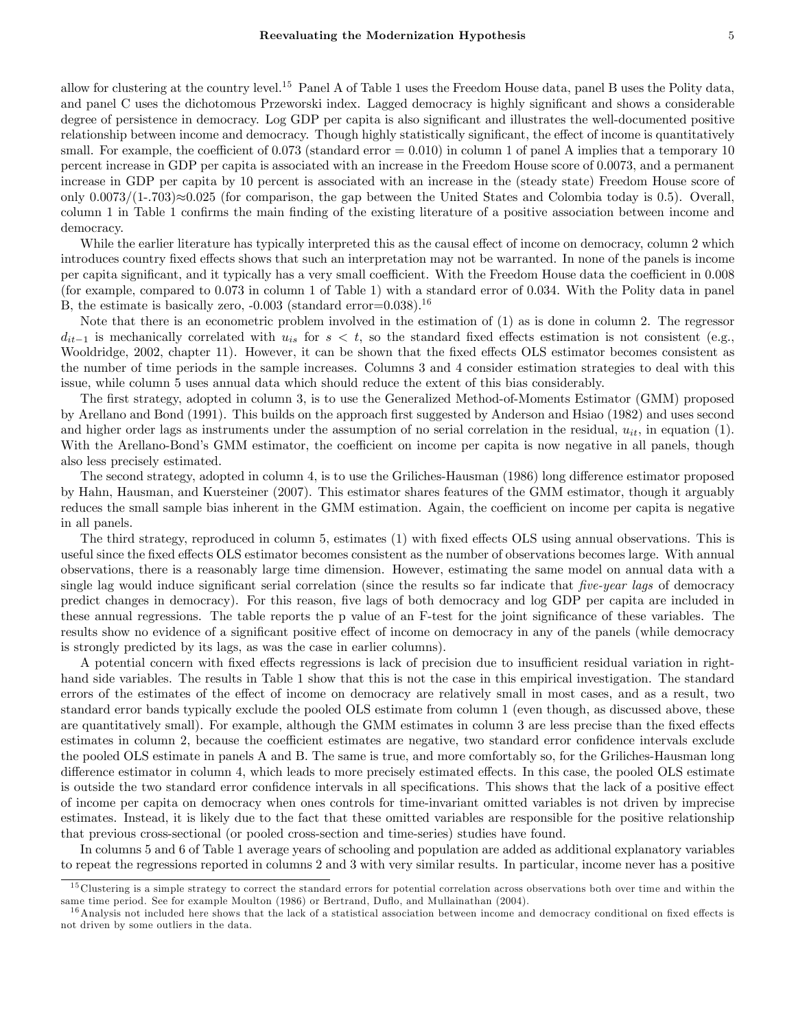allow for clustering at the country level.<sup>15</sup> Panel A of Table 1 uses the Freedom House data, panel B uses the Polity data, and panel C uses the dichotomous Przeworski index. Lagged democracy is highly significant and shows a considerable degree of persistence in democracy. Log GDP per capita is also significant and illustrates the well-documented positive relationship between income and democracy. Though highly statistically significant, the effect of income is quantitatively small. For example, the coefficient of 0.073 (standard error  $= 0.010$ ) in column 1 of panel A implies that a temporary 10 percent increase in GDP per capita is associated with an increase in the Freedom House score of 0.0073, and a permanent increase in GDP per capita by 10 percent is associated with an increase in the (steady state) Freedom House score of only  $0.0073/(1-.703) \approx 0.025$  (for comparison, the gap between the United States and Colombia today is 0.5). Overall, column 1 in Table 1 confirms the main finding of the existing literature of a positive association between income and democracy.

While the earlier literature has typically interpreted this as the causal effect of income on democracy, column 2 which introduces country fixed effects shows that such an interpretation may not be warranted. In none of the panels is income per capita significant, and it typically has a very small coefficient. With the Freedom House data the coefficient in 0.008 (for example, compared to 0.073 in column 1 of Table 1) with a standard error of 0.034. With the Polity data in panel B, the estimate is basically zero,  $-0.003$  (standard error=0.038).<sup>16</sup>

Note that there is an econometric problem involved in the estimation of (1) as is done in column 2. The regressor  $d_{it-1}$  is mechanically correlated with  $u_{is}$  for  $s < t$ , so the standard fixed effects estimation is not consistent (e.g., Wooldridge, 2002, chapter 11). However, it can be shown that the fixed effects OLS estimator becomes consistent as the number of time periods in the sample increases. Columns 3 and 4 consider estimation strategies to deal with this issue, while column 5 uses annual data which should reduce the extent of this bias considerably.

The first strategy, adopted in column 3, is to use the Generalized Method-of-Moments Estimator (GMM) proposed by Arellano and Bond (1991). This builds on the approach first suggested by Anderson and Hsiao (1982) and uses second and higher order lags as instruments under the assumption of no serial correlation in the residual,  $u_{it}$ , in equation (1). With the Arellano-Bond's GMM estimator, the coefficient on income per capita is now negative in all panels, though also less precisely estimated.

The second strategy, adopted in column 4, is to use the Griliches-Hausman (1986) long difference estimator proposed by Hahn, Hausman, and Kuersteiner (2007). This estimator shares features of the GMM estimator, though it arguably reduces the small sample bias inherent in the GMM estimation. Again, the coefficient on income per capita is negative in all panels.

The third strategy, reproduced in column 5, estimates (1) with fixed effects OLS using annual observations. This is useful since the fixed effects OLS estimator becomes consistent as the number of observations becomes large. With annual observations, there is a reasonably large time dimension. However, estimating the same model on annual data with a single lag would induce significant serial correlation (since the results so far indicate that  $five-year lags$  of democracy predict changes in democracy). For this reason, five lags of both democracy and log GDP per capita are included in these annual regressions. The table reports the p value of an F-test for the joint significance of these variables. The results show no evidence of a significant positive effect of income on democracy in any of the panels (while democracy is strongly predicted by its lags, as was the case in earlier columns).

A potential concern with fixed effects regressions is lack of precision due to insufficient residual variation in righthand side variables. The results in Table 1 show that this is not the case in this empirical investigation. The standard errors of the estimates of the effect of income on democracy are relatively small in most cases, and as a result, two standard error bands typically exclude the pooled OLS estimate from column 1 (even though, as discussed above, these are quantitatively small). For example, although the GMM estimates in column 3 are less precise than the fixed effects estimates in column 2, because the coefficient estimates are negative, two standard error confidence intervals exclude the pooled OLS estimate in panels A and B. The same is true, and more comfortably so, for the Griliches-Hausman long difference estimator in column 4, which leads to more precisely estimated effects. In this case, the pooled OLS estimate is outside the two standard error confidence intervals in all specifications. This shows that the lack of a positive effect of income per capita on democracy when ones controls for time-invariant omitted variables is not driven by imprecise estimates. Instead, it is likely due to the fact that these omitted variables are responsible for the positive relationship that previous cross-sectional (or pooled cross-section and time-series) studies have found.

In columns 5 and 6 of Table 1 average years of schooling and population are added as additional explanatory variables to repeat the regressions reported in columns 2 and 3 with very similar results. In particular, income never has a positive

 $15$  Clustering is a simple strategy to correct the standard errors for potential correlation across observations both over time and within the same time period. See for example Moulton (1986) or Bertrand, Duflo, and Mullainathan (2004).

 $^{16}$  Analysis not included here shows that the lack of a statistical association between income and democracy conditional on fixed effects is not driven by some outliers in the data.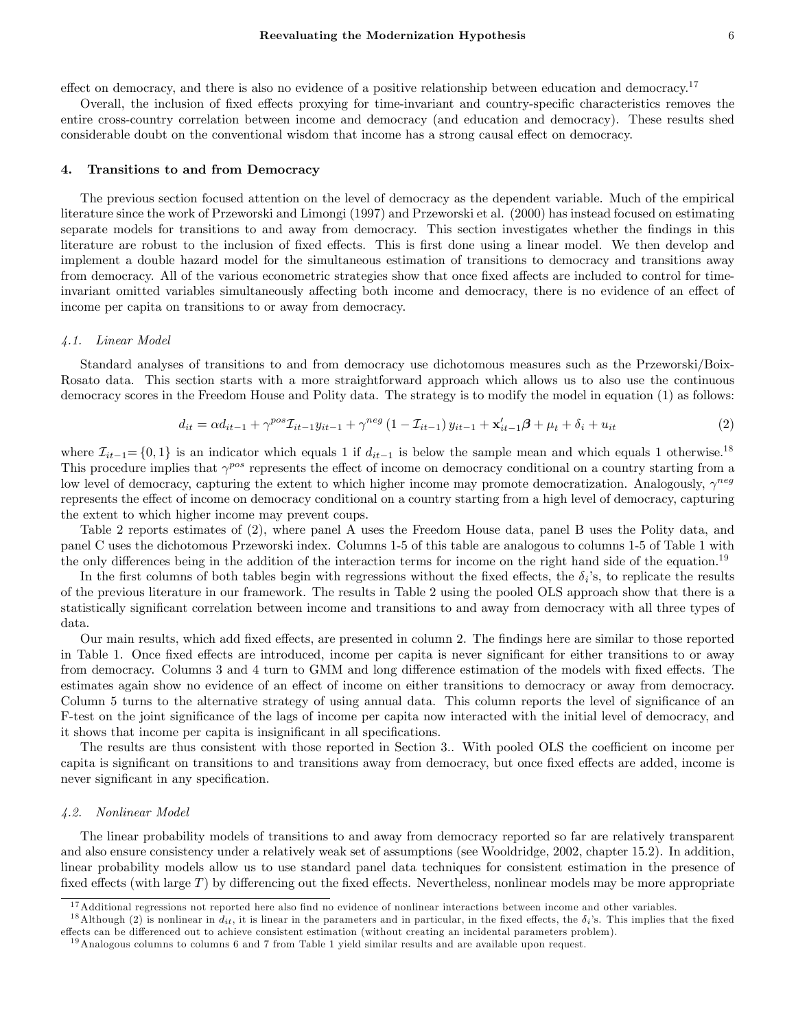effect on democracy, and there is also no evidence of a positive relationship between education and democracy.<sup>17</sup>

Overall, the inclusion of fixed effects proxying for time-invariant and country-specific characteristics removes the entire cross-country correlation between income and democracy (and education and democracy). These results shed considerable doubt on the conventional wisdom that income has a strong causal effect on democracy.

#### 4. Transitions to and from Democracy

The previous section focused attention on the level of democracy as the dependent variable. Much of the empirical literature since the work of Przeworski and Limongi (1997) and Przeworski et al. (2000) has instead focused on estimating separate models for transitions to and away from democracy. This section investigates whether the findings in this literature are robust to the inclusion of fixed effects. This is first done using a linear model. We then develop and implement a double hazard model for the simultaneous estimation of transitions to democracy and transitions away from democracy. All of the various econometric strategies show that once fixed affects are included to control for timeinvariant omitted variables simultaneously affecting both income and democracy, there is no evidence of an effect of income per capita on transitions to or away from democracy.

## 4.1. Linear Model

Standard analyses of transitions to and from democracy use dichotomous measures such as the Przeworski/Boix-Rosato data. This section starts with a more straightforward approach which allows us to also use the continuous democracy scores in the Freedom House and Polity data. The strategy is to modify the model in equation (1) as follows:

$$
d_{it} = \alpha d_{it-1} + \gamma^{pos} \mathcal{I}_{it-1} y_{it-1} + \gamma^{neg} (1 - \mathcal{I}_{it-1}) y_{it-1} + \mathbf{x}'_{it-1} \boldsymbol{\beta} + \mu_t + \delta_i + u_{it}
$$
(2)

where  $\mathcal{I}_{it-1} = \{0, 1\}$  is an indicator which equals 1 if  $d_{it-1}$  is below the sample mean and which equals 1 otherwise.<sup>18</sup> This procedure implies that  $\gamma^{pos}$  represents the effect of income on democracy conditional on a country starting from a low level of democracy, capturing the extent to which higher income may promote democratization. Analogously,  $\gamma^{neg}$ represents the effect of income on democracy conditional on a country starting from a high level of democracy, capturing the extent to which higher income may prevent coups.

Table 2 reports estimates of (2), where panel A uses the Freedom House data, panel B uses the Polity data, and panel C uses the dichotomous Przeworski index. Columns 1-5 of this table are analogous to columns 1-5 of Table 1 with the only differences being in the addition of the interaction terms for income on the right hand side of the equation.<sup>19</sup>

In the first columns of both tables begin with regressions without the fixed effects, the  $\delta_i$ 's, to replicate the results of the previous literature in our framework. The results in Table 2 using the pooled OLS approach show that there is a statistically significant correlation between income and transitions to and away from democracy with all three types of data.

Our main results, which add fixed effects, are presented in column 2. The findings here are similar to those reported in Table 1. Once fixed effects are introduced, income per capita is never significant for either transitions to or away from democracy. Columns 3 and 4 turn to GMM and long difference estimation of the models with fixed effects. The estimates again show no evidence of an effect of income on either transitions to democracy or away from democracy. Column 5 turns to the alternative strategy of using annual data. This column reports the level of significance of an F-test on the joint significance of the lags of income per capita now interacted with the initial level of democracy, and it shows that income per capita is insignificant in all specifications.

The results are thus consistent with those reported in Section 3.. With pooled OLS the coefficient on income per capita is significant on transitions to and transitions away from democracy, but once fixed effects are added, income is never significant in any specification.

# 4.2. Nonlinear Model

The linear probability models of transitions to and away from democracy reported so far are relatively transparent and also ensure consistency under a relatively weak set of assumptions (see Wooldridge, 2002, chapter 15.2). In addition, linear probability models allow us to use standard panel data techniques for consistent estimation in the presence of fixed effects (with large  $T$ ) by differencing out the fixed effects. Nevertheless, nonlinear models may be more appropriate

 $17$  Additional regressions not reported here also find no evidence of nonlinear interactions between income and other variables.

<sup>&</sup>lt;sup>18</sup>Although (2) is nonlinear in  $d_{it}$ , it is linear in the parameters and in particular, in the fixed effects, the  $\delta_i$ 's. This implies that the fixed effects can be differenced out to achieve consistent estimation (without creating an incidental parameters problem).

 $19$ Analogous columns to columns 6 and 7 from Table 1 yield similar results and are available upon request.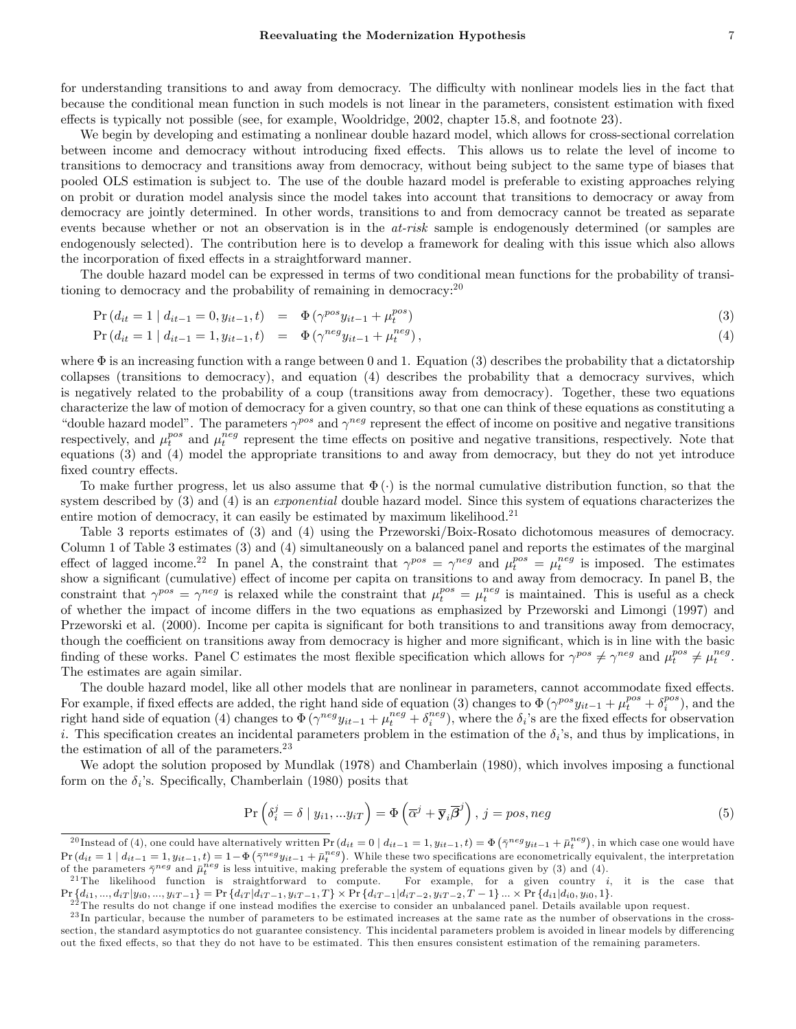for understanding transitions to and away from democracy. The difficulty with nonlinear models lies in the fact that because the conditional mean function in such models is not linear in the parameters, consistent estimation with Öxed effects is typically not possible (see, for example, Wooldridge, 2002, chapter 15.8, and footnote 23).

We begin by developing and estimating a nonlinear double hazard model, which allows for cross-sectional correlation between income and democracy without introducing fixed effects. This allows us to relate the level of income to transitions to democracy and transitions away from democracy, without being subject to the same type of biases that pooled OLS estimation is subject to. The use of the double hazard model is preferable to existing approaches relying on probit or duration model analysis since the model takes into account that transitions to democracy or away from democracy are jointly determined. In other words, transitions to and from democracy cannot be treated as separate events because whether or not an observation is in the *at-risk* sample is endogenously determined (or samples are endogenously selected). The contribution here is to develop a framework for dealing with this issue which also allows the incorporation of fixed effects in a straightforward manner.

The double hazard model can be expressed in terms of two conditional mean functions for the probability of transitioning to democracy and the probability of remaining in democracy:  $2^0$ 

$$
Pr(d_{it} = 1 | d_{it-1} = 0, y_{it-1}, t) = \Phi(\gamma^{pos} y_{it-1} + \mu_t^{pos})
$$
\n(3)

$$
Pr(d_{it} = 1 | d_{it-1} = 1, y_{it-1}, t) = \Phi(\gamma^{neg} y_{it-1} + \mu_t^{neg}),
$$
\n(4)

where  $\Phi$  is an increasing function with a range between 0 and 1. Equation (3) describes the probability that a dictatorship collapses (transitions to democracy), and equation (4) describes the probability that a democracy survives, which is negatively related to the probability of a coup (transitions away from democracy). Together, these two equations characterize the law of motion of democracy for a given country, so that one can think of these equations as constituting a "double hazard model". The parameters  $\gamma^{pos}$  and  $\gamma^{neg}$  represent the effect of income on positive and negative transitions respectively, and  $\mu_t^{pos}$  and  $\mu_t^{neg}$  represent the time effects on positive and negative transitions, respectively. Note that equations (3) and (4) model the appropriate transitions to and away from democracy, but they do not yet introduce fixed country effects.

To make further progress, let us also assume that  $\Phi(\cdot)$  is the normal cumulative distribution function, so that the system described by (3) and (4) is an *exponential* double hazard model. Since this system of equations characterizes the entire motion of democracy, it can easily be estimated by maximum likelihood.<sup>21</sup>

Table 3 reports estimates of (3) and (4) using the Przeworski/Boix-Rosato dichotomous measures of democracy. Column 1 of Table 3 estimates (3) and (4) simultaneously on a balanced panel and reports the estimates of the marginal effect of lagged income.<sup>22</sup> In panel A, the constraint that  $\gamma^{pos} = \gamma^{neg}$  and  $\mu_t^{pos} = \mu_t^{neg}$  is imposed. The estimates show a significant (cumulative) effect of income per capita on transitions to and away from democracy. In panel B, the constraint that  $\gamma^{pos} = \gamma^{neg}$  is relaxed while the constraint that  $\mu_t^{pos} = \mu_t^{neg}$  is maintained. This is useful as a check of whether the impact of income differs in the two equations as emphasized by Przeworski and Limongi (1997) and Przeworski et al. (2000). Income per capita is significant for both transitions to and transitions away from democracy, though the coefficient on transitions away from democracy is higher and more significant, which is in line with the basic finding of these works. Panel C estimates the most flexible specification which allows for  $\gamma^{pos} \neq \gamma^{neg}$  and  $\mu_t^{pos} \neq \mu_t^{neg}$ . The estimates are again similar.

The double hazard model, like all other models that are nonlinear in parameters, cannot accommodate fixed effects. For example, if fixed effects are added, the right hand side of equation (3) changes to  $\Phi(\gamma^{pos}y_{it-1} + \mu_t^{pos} + \delta_i^{pos})$ , and the right hand side of equation (4) changes to  $\Phi(\gamma^{neg}y_{it-1} + \mu_t^{neg} + \delta_i^{neg})$ , where the  $\delta_i$ 's are the fixed effects for observation i. This specification creates an incidental parameters problem in the estimation of the  $\delta_i$ 's, and thus by implications, in the estimation of all of the parameters. $23$ 

We adopt the solution proposed by Mundlak (1978) and Chamberlain (1980), which involves imposing a functional form on the  $\delta_i$ 's. Specifically, Chamberlain (1980) posits that

$$
\Pr\left(\delta_i^j = \delta \mid y_{i1}, \dots y_{iT}\right) = \Phi\left(\overline{\alpha}^j + \overline{\mathbf{y}}_i \overline{\beta}^j\right), j = pos, neg
$$
\n(5)

<sup>&</sup>lt;sup>20</sup>Instead of (4), one could have alternatively written  $\Pr(d_{it} = 0 \mid d_{it-1} = 1, y_{it-1}, t) = \Phi(\bar{\gamma}^{neg} y_{it-1} + \bar{\mu}_t^{neg}),$  in which case one would have Itstead of (4), one could have alternatively written  $\Gamma(\frac{a_{it}}{a_{it}}) = 0$   $\frac{a_{it-1}}{a_{it-1}} = 1$ ,  $y_{it-1}$ ,  $i = 0$   $\gamma$   $\frac{a_{it-1} + \mu_t}{a_t}$ , in which case one would have  $\frac{a_{it-1}}{a_{it-1}} = 1$ ,  $\frac{a_{it-1} + \mu_t}{a_t} = 1$ ,  $\frac{a$ of the parameters  $\bar{\gamma}^{neg}$  and  $\bar{\mu}^{neg}_{t}$  is less intuitive, making preferable the system of equations given by (3) and (4).

<sup>&</sup>lt;sup>21</sup>The likelihood function is straightforward to compute. For example, for a given country i, it is the case that  $\Pr\{d_{i1},...,d_{iT}|y_{i0},...,y_{iT-1}\} = \Pr\{d_{iT}|d_{iT-1},y_{iT-1},T\} \times \Pr\{d_{iT-1}|d_{iT-2},y_{iT-2},T-1\}...\times \Pr\{d_{i1}|d_{i0},y_{i0},1\}.$ 

The results do not change if one instead modifies the exercise to consider an unbalanced panel. Details available upon request.

<sup>&</sup>lt;sup>23</sup>In particular, because the number of parameters to be estimated increases at the same rate as the number of observations in the crosssection, the standard asymptotics do not guarantee consistency. This incidental parameters problem is avoided in linear models by differencing out the fixed effects, so that they do not have to be estimated. This then ensures consistent estimation of the remaining parameters.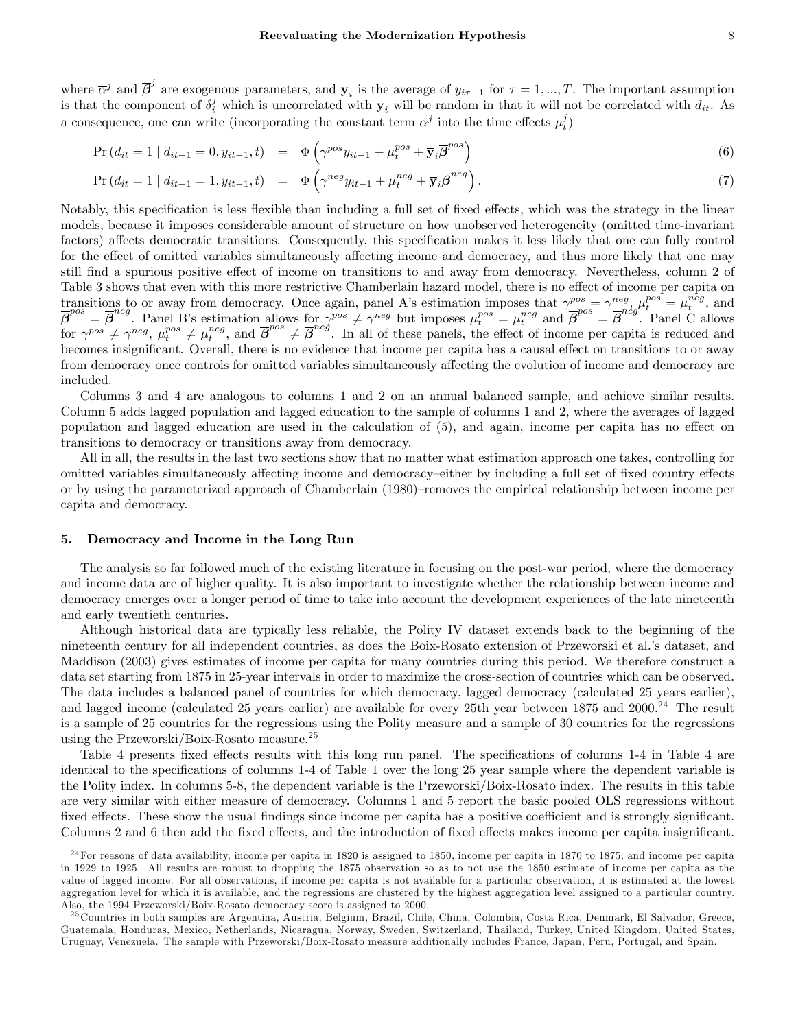where  $\overline{\alpha}^j$  and  $\overline{\beta}^j$  are exogenous parameters, and  $\overline{y}_i$  is the average of  $y_{i\tau-1}$  for  $\tau = 1, ..., T$ . The important assumption is that the component of  $\delta_i^j$  which is uncorrelated with  $\bar{y}_i$  will be random in that it will not be correlated with  $d_{it}$ . As a consequence, one can write (incorporating the constant term  $\overline{\alpha}^j$  into the time effects  $\mu_t^j$ )

$$
\Pr\left(d_{it} = 1 \mid d_{it-1} = 0, y_{it-1}, t\right) = \Phi\left(\gamma^{pos} y_{it-1} + \mu_t^{pos} + \overline{\mathbf{y}}_i \overline{\boldsymbol{\beta}}^{pos}\right)
$$
\n(6)

$$
\Pr\left(d_{it} = 1 \mid d_{it-1} = 1, y_{it-1}, t\right) = \Phi\left(\gamma^{neg} y_{it-1} + \mu_t^{neg} + \overline{\mathbf{y}}_i \overline{\boldsymbol{\beta}}^{neg}\right). \tag{7}
$$

Notably, this specification is less flexible than including a full set of fixed effects, which was the strategy in the linear models, because it imposes considerable amount of structure on how unobserved heterogeneity (omitted time-invariant factors) affects democratic transitions. Consequently, this specification makes it less likely that one can fully control for the effect of omitted variables simultaneously affecting income and democracy, and thus more likely that one may still find a spurious positive effect of income on transitions to and away from democracy. Nevertheless, column 2 of Table 3 shows that even with this more restrictive Chamberlain hazard model, there is no effect of income per capita on transitions to or away from democracy. Once again, panel A's estimation imposes that  $\gamma_{-nos}^{pos} = \gamma_{-nsc}^{neg} \mu_t^{pos} = \mu_t^{neg}$ , and  $\overline{\beta}^{pos} = \overline{\beta}^{neg}$ . Panel B's estimation allows for  $\gamma^{pos} \neq \gamma^{neg}$  but imposes  $\mu_t^{pos} = \mu_t^{neg}$  and  $\overline{\beta}^{pos} = \overline{\beta}^{neg'}$ . Panel C allows for  $\gamma^{pos} \neq \gamma^{neg}$ ,  $\mu_t^{pos} \neq \mu_t^{neg}$ , and  $\overline{\beta}^{pos} \neq \overline{\beta}^{neg}$ . In all of these panels, the effect of income per capita is reduced and becomes insignificant. Overall, there is no evidence that income per capita has a causal effect on transitions to or away from democracy once controls for omitted variables simultaneously affecting the evolution of income and democracy are included.

Columns 3 and 4 are analogous to columns 1 and 2 on an annual balanced sample, and achieve similar results. Column 5 adds lagged population and lagged education to the sample of columns 1 and 2, where the averages of lagged population and lagged education are used in the calculation of (5), and again, income per capita has no effect on transitions to democracy or transitions away from democracy.

All in all, the results in the last two sections show that no matter what estimation approach one takes, controlling for omitted variables simultaneously affecting income and democracy–either by including a full set of fixed country effects or by using the parameterized approach of Chamberlain (1980)–removes the empirical relationship between income per capita and democracy.

### 5. Democracy and Income in the Long Run

The analysis so far followed much of the existing literature in focusing on the post-war period, where the democracy and income data are of higher quality. It is also important to investigate whether the relationship between income and democracy emerges over a longer period of time to take into account the development experiences of the late nineteenth and early twentieth centuries.

Although historical data are typically less reliable, the Polity IV dataset extends back to the beginning of the nineteenth century for all independent countries, as does the Boix-Rosato extension of Przeworski et al.ís dataset, and Maddison (2003) gives estimates of income per capita for many countries during this period. We therefore construct a data set starting from 1875 in 25-year intervals in order to maximize the cross-section of countries which can be observed. The data includes a balanced panel of countries for which democracy, lagged democracy (calculated 25 years earlier), and lagged income (calculated 25 years earlier) are available for every 25th year between 1875 and 2000.<sup>24</sup> The result is a sample of 25 countries for the regressions using the Polity measure and a sample of 30 countries for the regressions using the Przeworski/Boix-Rosato measure.<sup>25</sup>

Table 4 presents fixed effects results with this long run panel. The specifications of columns 1-4 in Table 4 are identical to the specifications of columns 1-4 of Table 1 over the long 25 year sample where the dependent variable is the Polity index. In columns 5-8, the dependent variable is the Przeworski/Boix-Rosato index. The results in this table are very similar with either measure of democracy. Columns 1 and 5 report the basic pooled OLS regressions without fixed effects. These show the usual findings since income per capita has a positive coefficient and is strongly significant. Columns 2 and 6 then add the fixed effects, and the introduction of fixed effects makes income per capita insignificant.

 $24$  For reasons of data availability, income per capita in 1820 is assigned to 1850, income per capita in 1870 to 1875, and income per capita in 1929 to 1925. All results are robust to dropping the 1875 observation so as to not use the 1850 estimate of income per capita as the value of lagged income. For all observations, if income per capita is not available for a particular observation, it is estimated at the lowest aggregation level for which it is available, and the regressions are clustered by the highest aggregation level assigned to a particular country. Also, the 1994 Przeworski/Boix-Rosato democracy score is assigned to 2000.

<sup>&</sup>lt;sup>25</sup> Countries in both samples are Argentina, Austria, Belgium, Brazil, Chile, China, Colombia, Costa Rica, Denmark, El Salvador, Greece, Guatemala, Honduras, Mexico, Netherlands, Nicaragua, Norway, Sweden, Switzerland, Thailand, Turkey, United Kingdom, United States, Uruguay, Venezuela. The sample with Przeworski/Boix-Rosato measure additionally includes France, Japan, Peru, Portugal, and Spain.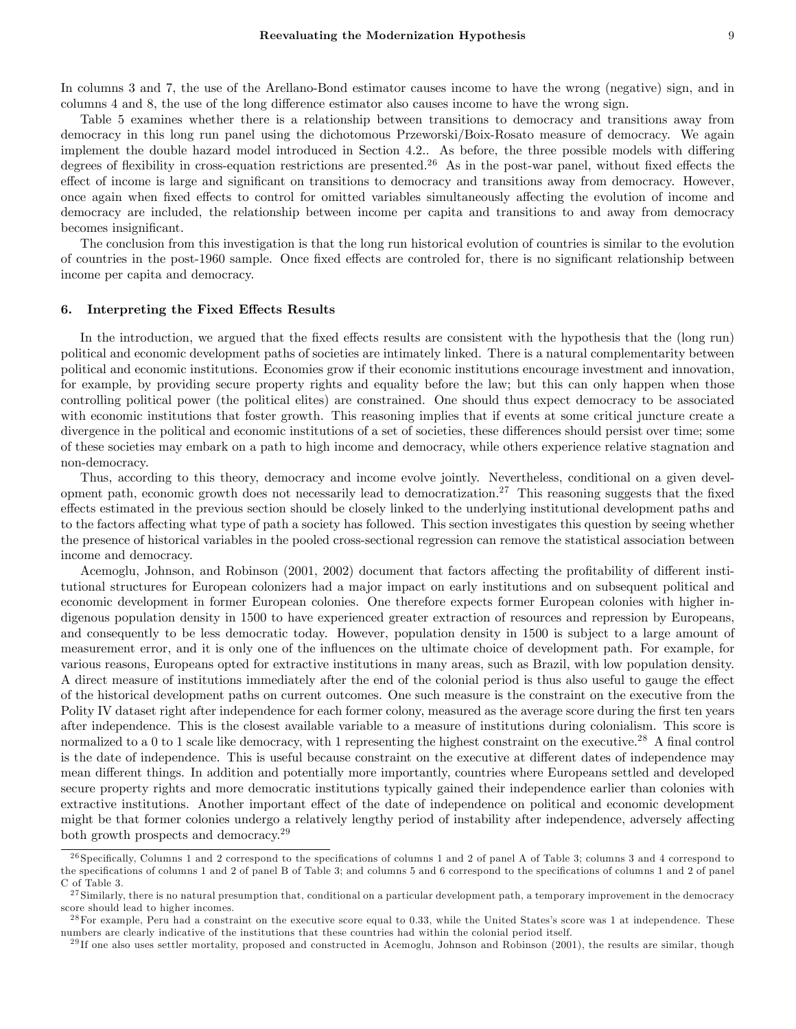### Reevaluating the Modernization Hypothesis 9

In columns 3 and 7, the use of the Arellano-Bond estimator causes income to have the wrong (negative) sign, and in columns 4 and 8, the use of the long difference estimator also causes income to have the wrong sign.

Table 5 examines whether there is a relationship between transitions to democracy and transitions away from democracy in this long run panel using the dichotomous Przeworski/Boix-Rosato measure of democracy. We again implement the double hazard model introduced in Section 4.2.. As before, the three possible models with differing degrees of flexibility in cross-equation restrictions are presented.<sup>26</sup> As in the post-war panel, without fixed effects the effect of income is large and significant on transitions to democracy and transitions away from democracy. However, once again when fixed effects to control for omitted variables simultaneously affecting the evolution of income and democracy are included, the relationship between income per capita and transitions to and away from democracy becomes insignificant.

The conclusion from this investigation is that the long run historical evolution of countries is similar to the evolution of countries in the post-1960 sample. Once fixed effects are controled for, there is no significant relationship between income per capita and democracy.

## 6. Interpreting the Fixed Effects Results

In the introduction, we argued that the fixed effects results are consistent with the hypothesis that the (long run) political and economic development paths of societies are intimately linked. There is a natural complementarity between political and economic institutions. Economies grow if their economic institutions encourage investment and innovation, for example, by providing secure property rights and equality before the law; but this can only happen when those controlling political power (the political elites) are constrained. One should thus expect democracy to be associated with economic institutions that foster growth. This reasoning implies that if events at some critical juncture create a divergence in the political and economic institutions of a set of societies, these differences should persist over time; some of these societies may embark on a path to high income and democracy, while others experience relative stagnation and non-democracy.

Thus, according to this theory, democracy and income evolve jointly. Nevertheless, conditional on a given development path, economic growth does not necessarily lead to democratization.<sup>27</sup> This reasoning suggests that the fixed effects estimated in the previous section should be closely linked to the underlying institutional development paths and to the factors affecting what type of path a society has followed. This section investigates this question by seeing whether the presence of historical variables in the pooled cross-sectional regression can remove the statistical association between income and democracy.

Acemoglu, Johnson, and Robinson (2001, 2002) document that factors affecting the profitability of different institutional structures for European colonizers had a major impact on early institutions and on subsequent political and economic development in former European colonies. One therefore expects former European colonies with higher indigenous population density in 1500 to have experienced greater extraction of resources and repression by Europeans, and consequently to be less democratic today. However, population density in 1500 is subject to a large amount of measurement error, and it is only one of the influences on the ultimate choice of development path. For example, for various reasons, Europeans opted for extractive institutions in many areas, such as Brazil, with low population density. A direct measure of institutions immediately after the end of the colonial period is thus also useful to gauge the effect of the historical development paths on current outcomes. One such measure is the constraint on the executive from the Polity IV dataset right after independence for each former colony, measured as the average score during the first ten years after independence. This is the closest available variable to a measure of institutions during colonialism. This score is normalized to a 0 to 1 scale like democracy, with 1 representing the highest constraint on the executive.<sup>28</sup> A final control is the date of independence. This is useful because constraint on the executive at different dates of independence may mean different things. In addition and potentially more importantly, countries where Europeans settled and developed secure property rights and more democratic institutions typically gained their independence earlier than colonies with extractive institutions. Another important effect of the date of independence on political and economic development might be that former colonies undergo a relatively lengthy period of instability after independence, adversely affecting both growth prospects and democracy.<sup>29</sup>

 $^{26}$  Specifically, Columns 1 and 2 correspond to the specifications of columns 1 and 2 of panel A of Table 3; columns 3 and 4 correspond to the specifications of columns 1 and 2 of panel B of Table 3; and columns 5 and 6 correspond to the specifications of columns 1 and 2 of panel C of Table 3.

 $27$  Similarly, there is no natural presumption that, conditional on a particular development path, a temporary improvement in the democracy score should lead to higher incomes.

 $^{28}$  For example, Peru had a constraint on the executive score equal to 0.33, while the United States's score was 1 at independence. These numbers are clearly indicative of the institutions that these countries had within the colonial period itself.

 $29$  If one also uses settler mortality, proposed and constructed in Acemoglu, Johnson and Robinson (2001), the results are similar, though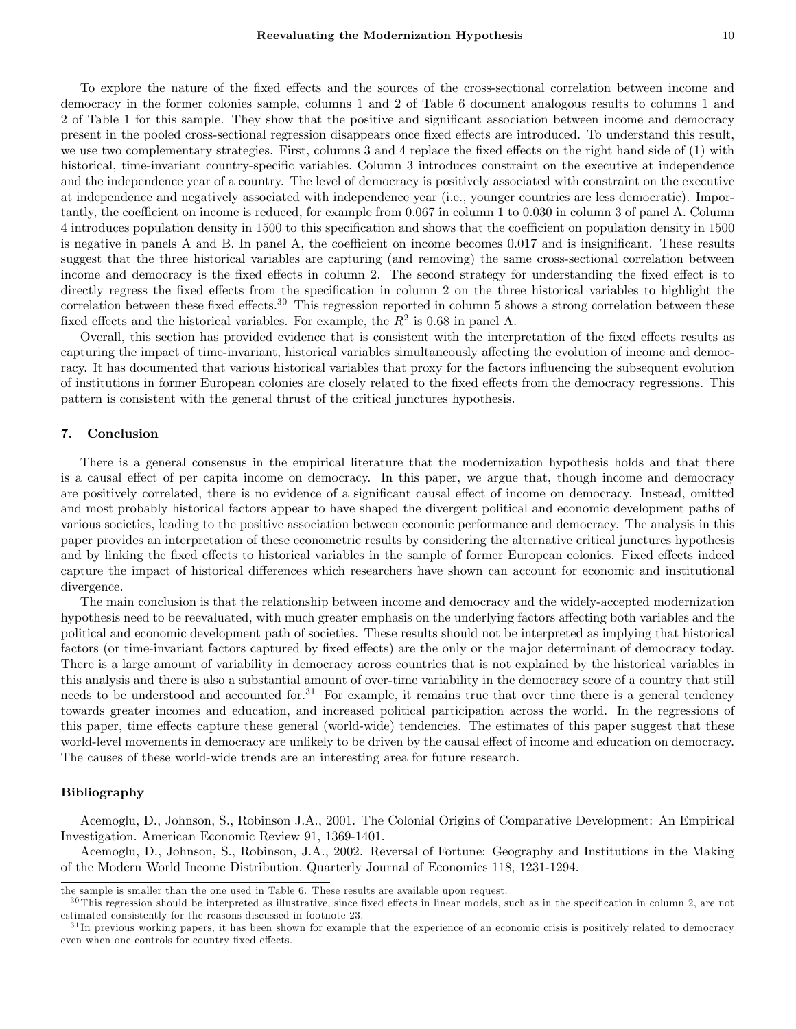To explore the nature of the fixed effects and the sources of the cross-sectional correlation between income and democracy in the former colonies sample, columns 1 and 2 of Table 6 document analogous results to columns 1 and 2 of Table 1 for this sample. They show that the positive and significant association between income and democracy present in the pooled cross-sectional regression disappears once fixed effects are introduced. To understand this result, we use two complementary strategies. First, columns  $3$  and  $4$  replace the fixed effects on the right hand side of  $(1)$  with historical, time-invariant country-specific variables. Column 3 introduces constraint on the executive at independence and the independence year of a country. The level of democracy is positively associated with constraint on the executive at independence and negatively associated with independence year (i.e., younger countries are less democratic). Importantly, the coefficient on income is reduced, for example from  $0.067$  in column 1 to  $0.030$  in column 3 of panel A. Column 4 introduces population density in 1500 to this specification and shows that the coefficient on population density in 1500 is negative in panels A and B. In panel A, the coefficient on income becomes  $0.017$  and is insignificant. These results suggest that the three historical variables are capturing (and removing) the same cross-sectional correlation between income and democracy is the fixed effects in column 2. The second strategy for understanding the fixed effect is to directly regress the fixed effects from the specification in column 2 on the three historical variables to highlight the correlation between these fixed effects.<sup>30</sup> This regression reported in column 5 shows a strong correlation between these fixed effects and the historical variables. For example, the  $R^2$  is 0.68 in panel A.

Overall, this section has provided evidence that is consistent with the interpretation of the fixed effects results as capturing the impact of time-invariant, historical variables simultaneously affecting the evolution of income and democracy. It has documented that various historical variables that proxy for the factors influencing the subsequent evolution of institutions in former European colonies are closely related to the fixed effects from the democracy regressions. This pattern is consistent with the general thrust of the critical junctures hypothesis.

### 7. Conclusion

There is a general consensus in the empirical literature that the modernization hypothesis holds and that there is a causal effect of per capita income on democracy. In this paper, we argue that, though income and democracy are positively correlated, there is no evidence of a significant causal effect of income on democracy. Instead, omitted and most probably historical factors appear to have shaped the divergent political and economic development paths of various societies, leading to the positive association between economic performance and democracy. The analysis in this paper provides an interpretation of these econometric results by considering the alternative critical junctures hypothesis and by linking the fixed effects to historical variables in the sample of former European colonies. Fixed effects indeed capture the impact of historical differences which researchers have shown can account for economic and institutional divergence.

The main conclusion is that the relationship between income and democracy and the widely-accepted modernization hypothesis need to be reevaluated, with much greater emphasis on the underlying factors affecting both variables and the political and economic development path of societies. These results should not be interpreted as implying that historical factors (or time-invariant factors captured by fixed effects) are the only or the major determinant of democracy today. There is a large amount of variability in democracy across countries that is not explained by the historical variables in this analysis and there is also a substantial amount of over-time variability in the democracy score of a country that still needs to be understood and accounted for.<sup>31</sup> For example, it remains true that over time there is a general tendency towards greater incomes and education, and increased political participation across the world. In the regressions of this paper, time effects capture these general (world-wide) tendencies. The estimates of this paper suggest that these world-level movements in democracy are unlikely to be driven by the causal effect of income and education on democracy. The causes of these world-wide trends are an interesting area for future research.

## Bibliography

Acemoglu, D., Johnson, S., Robinson J.A., 2001. The Colonial Origins of Comparative Development: An Empirical Investigation. American Economic Review 91, 1369-1401.

Acemoglu, D., Johnson, S., Robinson, J.A., 2002. Reversal of Fortune: Geography and Institutions in the Making of the Modern World Income Distribution. Quarterly Journal of Economics 118, 1231-1294.

the sample is smaller than the one used in Table 6. These results are available upon request.

 $30$ This regression should be interpreted as illustrative, since fixed effects in linear models, such as in the specification in column 2, are not estimated consistently for the reasons discussed in footnote 23.

 $31$  In previous working papers, it has been shown for example that the experience of an economic crisis is positively related to democracy even when one controls for country fixed effects.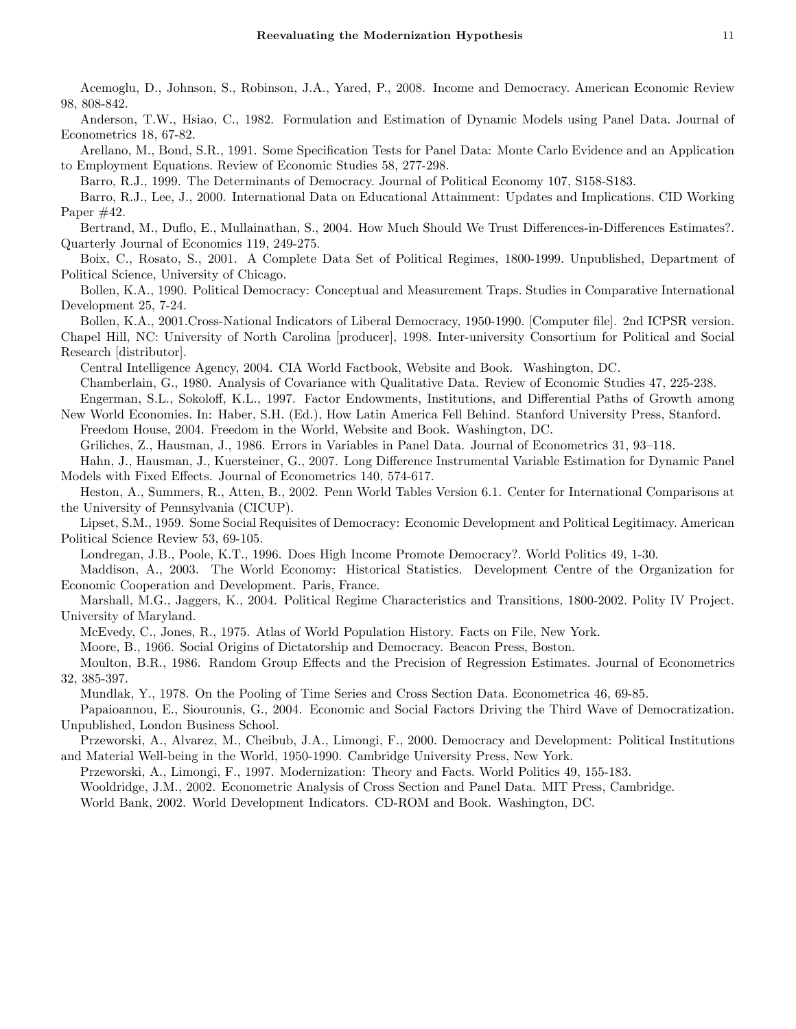Acemoglu, D., Johnson, S., Robinson, J.A., Yared, P., 2008. Income and Democracy. American Economic Review 98, 808-842.

Anderson, T.W., Hsiao, C., 1982. Formulation and Estimation of Dynamic Models using Panel Data. Journal of Econometrics 18, 67-82.

Arellano, M., Bond, S.R., 1991. Some Specification Tests for Panel Data: Monte Carlo Evidence and an Application to Employment Equations. Review of Economic Studies 58, 277-298.

Barro, R.J., 1999. The Determinants of Democracy. Journal of Political Economy 107, S158-S183.

Barro, R.J., Lee, J., 2000. International Data on Educational Attainment: Updates and Implications. CID Working Paper #42.

Bertrand, M., Duflo, E., Mullainathan, S., 2004. How Much Should We Trust Differences-in-Differences Estimates?. Quarterly Journal of Economics 119, 249-275.

Boix, C., Rosato, S., 2001. A Complete Data Set of Political Regimes, 1800-1999. Unpublished, Department of Political Science, University of Chicago.

Bollen, K.A., 1990. Political Democracy: Conceptual and Measurement Traps. Studies in Comparative International Development 25, 7-24.

Bollen, K.A., 2001.Cross-National Indicators of Liberal Democracy, 1950-1990. [Computer file]. 2nd ICPSR version. Chapel Hill, NC: University of North Carolina [producer], 1998. Inter-university Consortium for Political and Social Research [distributor].

Central Intelligence Agency, 2004. CIA World Factbook, Website and Book. Washington, DC.

Chamberlain, G., 1980. Analysis of Covariance with Qualitative Data. Review of Economic Studies 47, 225-238.

Engerman, S.L., Sokoloff, K.L., 1997. Factor Endowments, Institutions, and Differential Paths of Growth among New World Economies. In: Haber, S.H. (Ed.), How Latin America Fell Behind. Stanford University Press, Stanford.

Freedom House, 2004. Freedom in the World, Website and Book. Washington, DC.

Griliches, Z., Hausman, J., 1986. Errors in Variables in Panel Data. Journal of Econometrics 31, 93–118.

Hahn, J., Hausman, J., Kuersteiner, G., 2007. Long Difference Instrumental Variable Estimation for Dynamic Panel Models with Fixed Effects. Journal of Econometrics 140, 574-617.

Heston, A., Summers, R., Atten, B., 2002. Penn World Tables Version 6.1. Center for International Comparisons at the University of Pennsylvania (CICUP).

Lipset, S.M., 1959. Some Social Requisites of Democracy: Economic Development and Political Legitimacy. American Political Science Review 53, 69-105.

Londregan, J.B., Poole, K.T., 1996. Does High Income Promote Democracy?. World Politics 49, 1-30.

Maddison, A., 2003. The World Economy: Historical Statistics. Development Centre of the Organization for Economic Cooperation and Development. Paris, France.

Marshall, M.G., Jaggers, K., 2004. Political Regime Characteristics and Transitions, 1800-2002. Polity IV Project. University of Maryland.

McEvedy, C., Jones, R., 1975. Atlas of World Population History. Facts on File, New York.

Moore, B., 1966. Social Origins of Dictatorship and Democracy. Beacon Press, Boston.

Moulton, B.R., 1986. Random Group Effects and the Precision of Regression Estimates. Journal of Econometrics 32, 385-397.

Mundlak, Y., 1978. On the Pooling of Time Series and Cross Section Data. Econometrica 46, 69-85.

Papaioannou, E., Siourounis, G., 2004. Economic and Social Factors Driving the Third Wave of Democratization. Unpublished, London Business School.

Przeworski, A., Alvarez, M., Cheibub, J.A., Limongi, F., 2000. Democracy and Development: Political Institutions and Material Well-being in the World, 1950-1990. Cambridge University Press, New York.

Przeworski, A., Limongi, F., 1997. Modernization: Theory and Facts. World Politics 49, 155-183. Wooldridge, J.M., 2002. Econometric Analysis of Cross Section and Panel Data. MIT Press, Cambridge.

World Bank, 2002. World Development Indicators. CD-ROM and Book. Washington, DC.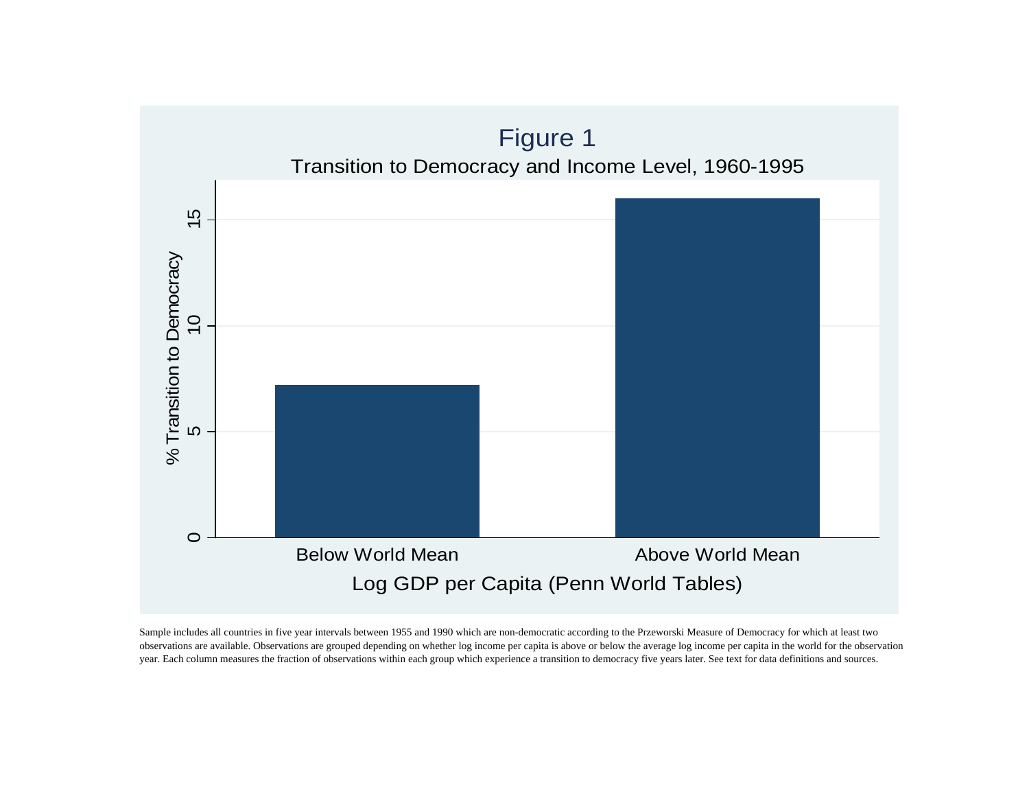

Sample includes all countries in five year intervals between 1955 and 1990 which are non-democratic according to the Przeworski Measure of Democracy for which at least two observations are available. Observations are grouped depending on whether log income per capita is above or below the average log income per capita in the world for the observation year. Each column measures the fraction of observations within each group which experience a transition to democracy five years later. See text for data definitions and sources.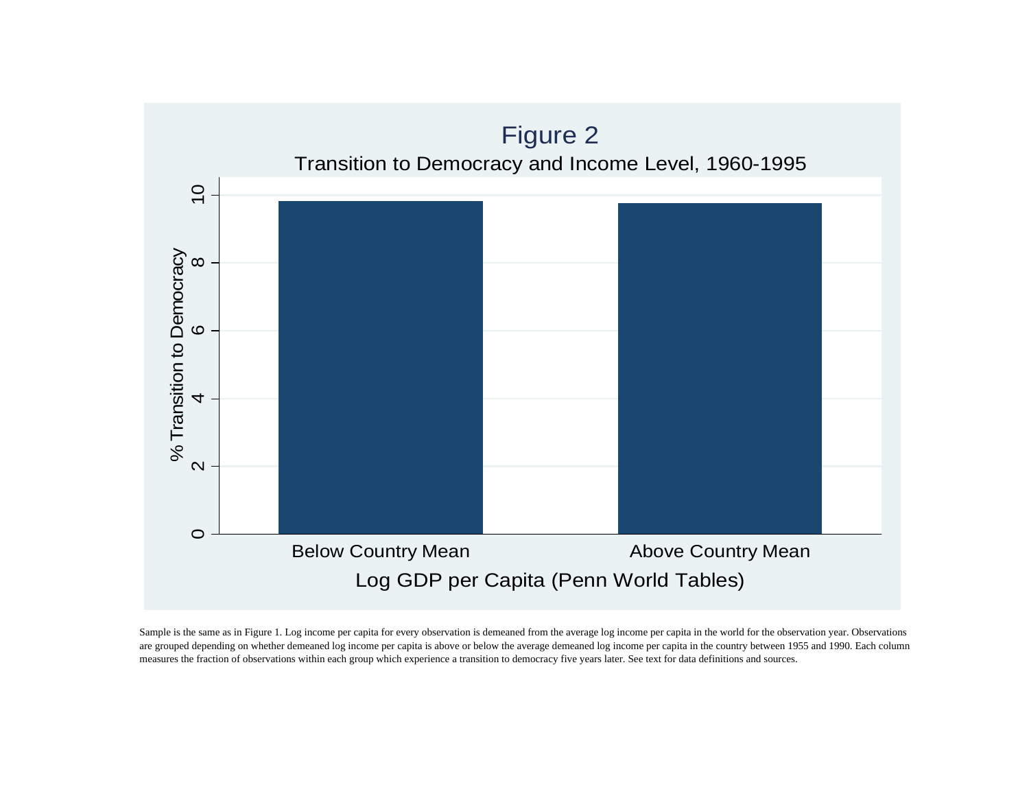

Sample is the same as in Figure 1. Log income per capita for every observation is demeaned from the average log income per capita in the world for the observation year. Observations are grouped depending on whether demeaned log income per capita is above or below the average demeaned log income per capita in the country between 1955 and 1990. Each column measures the fraction of observations within each group which experience a transition to democracy five years later. See text for data definitions and sources.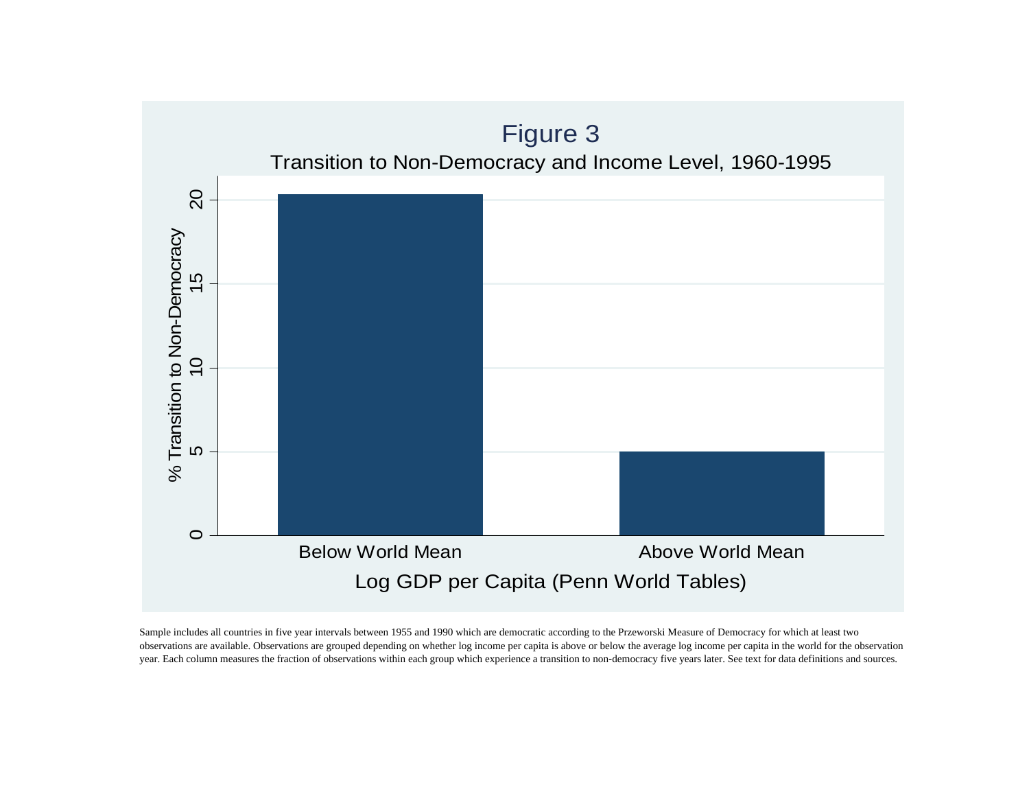

Sample includes all countries in five year intervals between 1955 and 1990 which are democratic according to the Przeworski Measure of Democracy for which at least two observations are available. Observations are grouped depending on whether log income per capita is above or below the average log income per capita in the world for the observation year. Each column measures the fraction of observations within each group which experience a transition to non-democracy five years later. See text for data definitions and sources.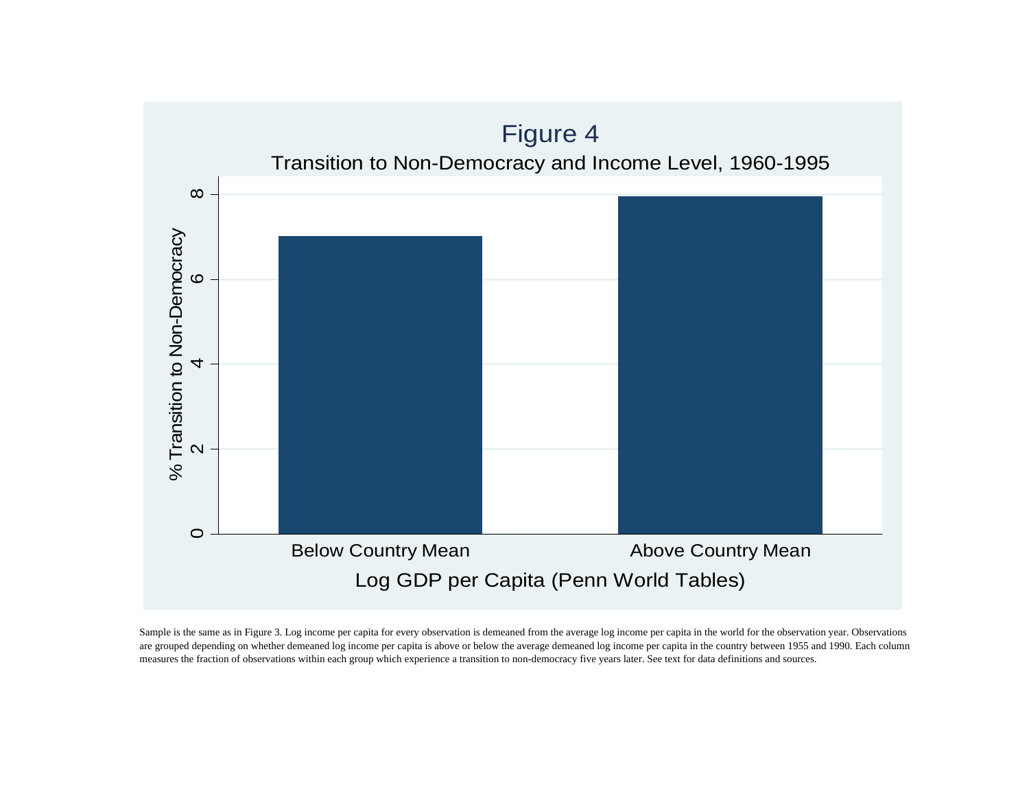

Sample is the same as in Figure 3. Log income per capita for every observation is demeaned from the average log income per capita in the world for the observation year. Observations are grouped depending on whether demeaned log income per capita is above or below the average demeaned log income per capita in the country between 1955 and 1990. Each column measures the fraction of observations within each group which experience a transition to non-democracy five years later. See text for data definitions and sources.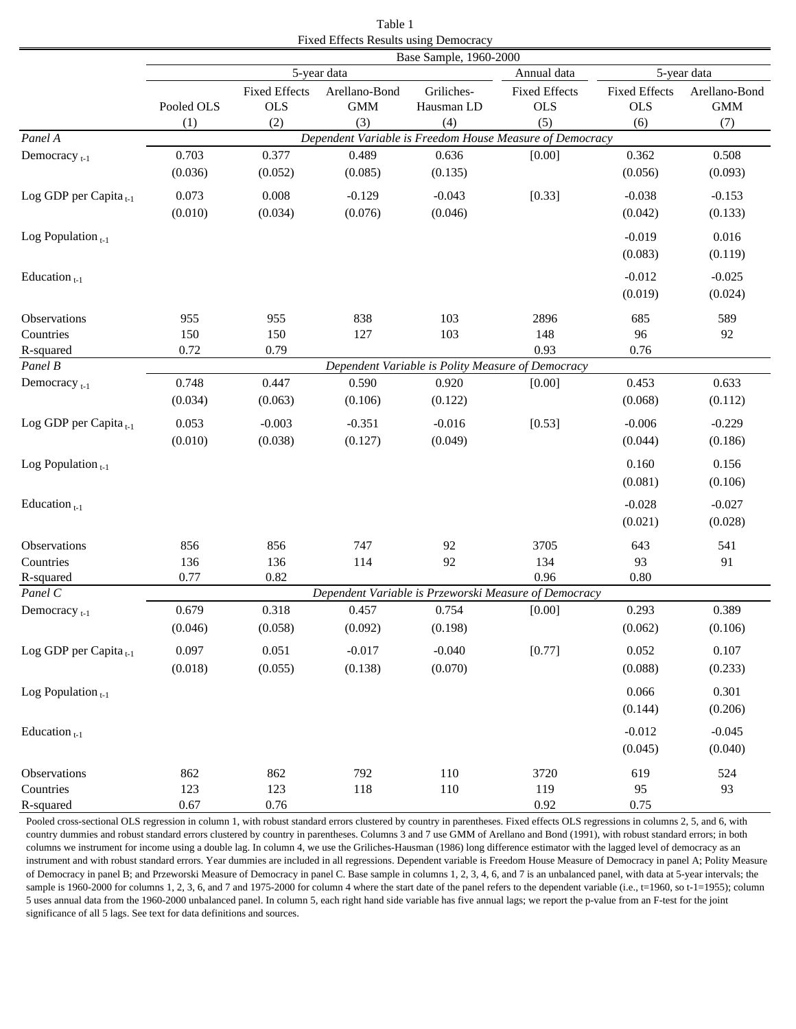| Table 1                                      |
|----------------------------------------------|
| <b>Fixed Effects Results using Democracy</b> |

|                                       | Base Sample, 1960-2000 |                      |               |            |                                                          |                      |               |  |  |
|---------------------------------------|------------------------|----------------------|---------------|------------|----------------------------------------------------------|----------------------|---------------|--|--|
|                                       |                        |                      | 5-year data   |            | Annual data                                              |                      | 5-year data   |  |  |
|                                       |                        | <b>Fixed Effects</b> | Arellano-Bond | Griliches- | <b>Fixed Effects</b>                                     | <b>Fixed Effects</b> | Arellano-Bond |  |  |
|                                       | Pooled OLS             | <b>OLS</b>           | <b>GMM</b>    | Hausman LD | <b>OLS</b>                                               | <b>OLS</b>           | <b>GMM</b>    |  |  |
|                                       | (1)                    | (2)                  | (3)           | (4)        | (5)                                                      | (6)                  | (7)           |  |  |
| Panel A                               |                        |                      |               |            | Dependent Variable is Freedom House Measure of Democracy |                      |               |  |  |
| Democracy <sub>t-1</sub>              | 0.703                  | 0.377                | 0.489         | 0.636      | [0.00]                                                   | 0.362                | 0.508         |  |  |
|                                       | (0.036)                | (0.052)              | (0.085)       | (0.135)    |                                                          | (0.056)              | (0.093)       |  |  |
| Log GDP per Capita $_{t-1}$           | 0.073                  | 0.008                | $-0.129$      | $-0.043$   | [0.33]                                                   | $-0.038$             | $-0.153$      |  |  |
|                                       | (0.010)                | (0.034)              | (0.076)       | (0.046)    |                                                          | (0.042)              | (0.133)       |  |  |
| Log Population $_{t-1}$               |                        |                      |               |            |                                                          | $-0.019$             | 0.016         |  |  |
|                                       |                        |                      |               |            |                                                          | (0.083)              | (0.119)       |  |  |
| Education <sub><math>t-1</math></sub> |                        |                      |               |            |                                                          | $-0.012$             | $-0.025$      |  |  |
|                                       |                        |                      |               |            |                                                          | (0.019)              | (0.024)       |  |  |
| Observations                          | 955                    | 955                  | 838           | 103        | 2896                                                     | 685                  | 589           |  |  |
| Countries                             | 150                    | 150                  | 127           | 103        | 148                                                      | 96                   | 92            |  |  |
| R-squared                             | 0.72                   | 0.79                 |               |            | 0.93                                                     | 0.76                 |               |  |  |
| Panel B                               |                        |                      |               |            | Dependent Variable is Polity Measure of Democracy        |                      |               |  |  |
| Democracy $_{t-1}$                    | 0.748                  | 0.447                | 0.590         | 0.920      | [0.00]                                                   | 0.453                | 0.633         |  |  |
|                                       | (0.034)                | (0.063)              | (0.106)       | (0.122)    |                                                          | (0.068)              | (0.112)       |  |  |
| Log GDP per Capita <sub>t-1</sub>     | 0.053                  | $-0.003$             | $-0.351$      | $-0.016$   | [0.53]                                                   | $-0.006$             | $-0.229$      |  |  |
|                                       | (0.010)                | (0.038)              | (0.127)       | (0.049)    |                                                          | (0.044)              | (0.186)       |  |  |
| Log Population $_{t-1}$               |                        |                      |               |            |                                                          | 0.160                | 0.156         |  |  |
|                                       |                        |                      |               |            |                                                          | (0.081)              | (0.106)       |  |  |
| Education $_{t-1}$                    |                        |                      |               |            |                                                          | $-0.028$             | $-0.027$      |  |  |
|                                       |                        |                      |               |            |                                                          | (0.021)              | (0.028)       |  |  |
| Observations                          | 856                    | 856                  | 747           | 92         | 3705                                                     | 643                  | 541           |  |  |
| Countries                             | 136                    | 136                  | 114           | 92         | 134                                                      | 93                   | 91            |  |  |
| R-squared                             | 0.77                   | 0.82                 |               |            | 0.96                                                     | 0.80                 |               |  |  |
| Panel C                               |                        |                      |               |            | Dependent Variable is Przeworski Measure of Democracy    |                      |               |  |  |
| Democracy <sub>t-1</sub>              | 0.679                  | 0.318                | 0.457         | 0.754      | [0.00]                                                   | 0.293                | 0.389         |  |  |
|                                       | (0.046)                | (0.058)              | (0.092)       | (0.198)    |                                                          | (0.062)              | (0.106)       |  |  |
| Log GDP per Capita <sub>t-1</sub>     | 0.097                  | 0.051                | $-0.017$      | $-0.040$   | [0.77]                                                   | 0.052                | 0.107         |  |  |
|                                       | (0.018)                | (0.055)              | (0.138)       | (0.070)    |                                                          | (0.088)              | (0.233)       |  |  |
| Log Population $_{t-1}$               |                        |                      |               |            |                                                          | 0.066                | 0.301         |  |  |
|                                       |                        |                      |               |            |                                                          | (0.144)              | (0.206)       |  |  |
| Education $_{t-1}$                    |                        |                      |               |            |                                                          | $-0.012$             | $-0.045$      |  |  |
|                                       |                        |                      |               |            |                                                          | (0.045)              | (0.040)       |  |  |
| Observations                          | 862                    | 862                  | 792           | 110        | 3720                                                     | 619                  | 524           |  |  |
| Countries                             | 123                    | 123                  | 118           | 110        | 119                                                      | 95                   | 93            |  |  |
| R-squared                             | 0.67                   | 0.76                 |               |            | 0.92                                                     | 0.75                 |               |  |  |

Pooled cross-sectional OLS regression in column 1, with robust standard errors clustered by country in parentheses. Fixed effects OLS regressions in columns 2, 5, and 6, with country dummies and robust standard errors clustered by country in parentheses. Columns 3 and 7 use GMM of Arellano and Bond (1991), with robust standard errors; in both columns we instrument for income using a double lag. In column 4, we use the Griliches-Hausman (1986) long difference estimator with the lagged level of democracy as an instrument and with robust standard errors. Year dummies are included in all regressions. Dependent variable is Freedom House Measure of Democracy in panel A; Polity Measure of Democracy in panel B; and Przeworski Measure of Democracy in panel C. Base sample in columns 1, 2, 3, 4, 6, and 7 is an unbalanced panel, with data at 5-year intervals; the sample is 1960-2000 for columns 1, 2, 3, 6, and 7 and 1975-2000 for column 4 where the start date of the panel refers to the dependent variable (i.e., t=1960, so t-1=1955); column 5 uses annual data from the 1960-2000 unbalanced panel. In column 5, each right hand side variable has five annual lags; we report the p-value from an F-test for the joint significance of all 5 lags. See text for data definitions and sources.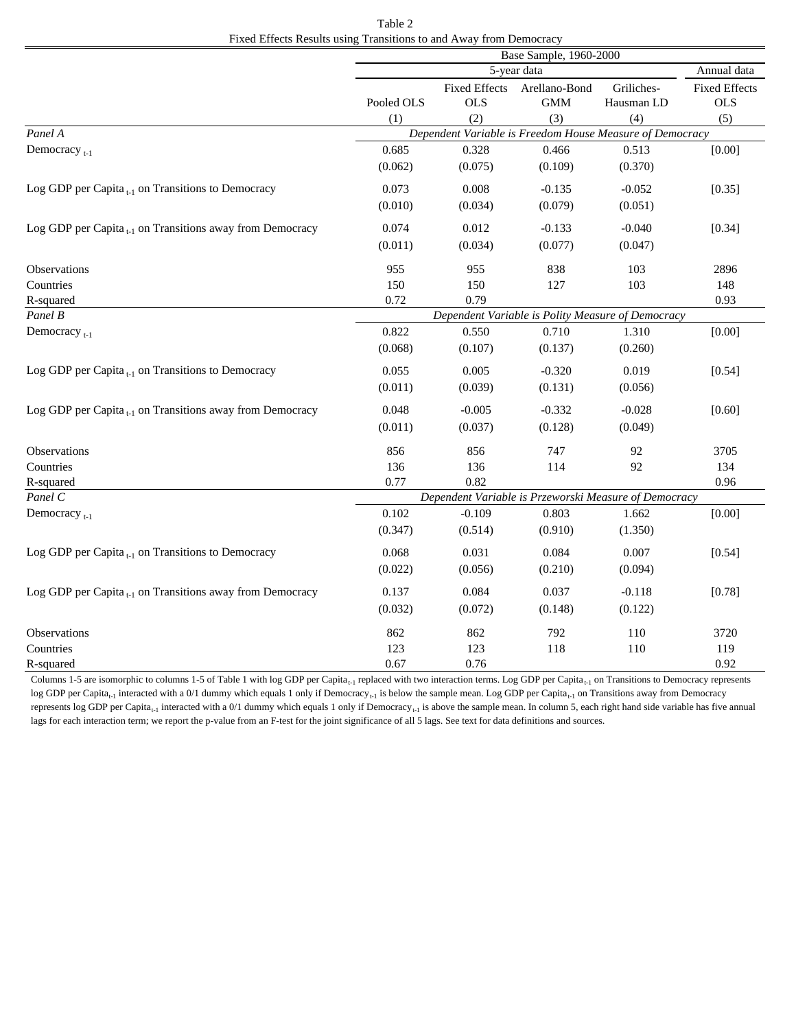|                                                                      | Base Sample, 1960-2000 |                      |                                                          |            |                      |  |  |
|----------------------------------------------------------------------|------------------------|----------------------|----------------------------------------------------------|------------|----------------------|--|--|
|                                                                      |                        | Annual data          |                                                          |            |                      |  |  |
|                                                                      |                        | <b>Fixed Effects</b> | Arellano-Bond                                            | Griliches- | <b>Fixed Effects</b> |  |  |
|                                                                      | Pooled OLS             | <b>OLS</b>           | <b>GMM</b>                                               | Hausman LD | <b>OLS</b>           |  |  |
|                                                                      | (1)                    | (2)                  | (3)                                                      | (4)        | (5)                  |  |  |
| Panel A                                                              |                        |                      | Dependent Variable is Freedom House Measure of Democracy |            |                      |  |  |
| Democracy $_{t-1}$                                                   | 0.685                  | 0.328                | 0.466                                                    | 0.513      | [0.00]               |  |  |
|                                                                      | (0.062)                | (0.075)              | (0.109)                                                  | (0.370)    |                      |  |  |
| Log GDP per Capita <sub>t-1</sub> on Transitions to Democracy        | 0.073                  | 0.008                | $-0.135$                                                 | $-0.052$   | [0.35]               |  |  |
|                                                                      | (0.010)                | (0.034)              | (0.079)                                                  | (0.051)    |                      |  |  |
| Log GDP per Capita <sub>t-1</sub> on Transitions away from Democracy | 0.074                  | 0.012                | $-0.133$                                                 | $-0.040$   | [0.34]               |  |  |
|                                                                      | (0.011)                | (0.034)              | (0.077)                                                  | (0.047)    |                      |  |  |
| Observations                                                         | 955                    | 955                  | 838                                                      | 103        | 2896                 |  |  |
| Countries                                                            | 150                    | 150                  | 127                                                      | 103        | 148                  |  |  |
| R-squared                                                            | 0.72                   | 0.79                 |                                                          |            | 0.93                 |  |  |
| Panel B                                                              |                        |                      | Dependent Variable is Polity Measure of Democracy        |            |                      |  |  |
| Democracy $_{t-1}$                                                   | 0.822                  | 0.550                | 0.710                                                    | 1.310      | [0.00]               |  |  |
|                                                                      | (0.068)                | (0.107)              | (0.137)                                                  | (0.260)    |                      |  |  |
| Log GDP per Capita <sub>t-1</sub> on Transitions to Democracy        | 0.055                  | 0.005                | $-0.320$                                                 | 0.019      | [0.54]               |  |  |
|                                                                      | (0.011)                | (0.039)              | (0.131)                                                  | (0.056)    |                      |  |  |
| Log GDP per Capita <sub>t-1</sub> on Transitions away from Democracy | 0.048                  | $-0.005$             | $-0.332$                                                 | $-0.028$   | [0.60]               |  |  |
|                                                                      | (0.011)                | (0.037)              | (0.128)                                                  | (0.049)    |                      |  |  |
| Observations                                                         | 856                    | 856                  | 747                                                      | 92         | 3705                 |  |  |
| Countries                                                            | 136                    | 136                  | 114                                                      | 92         | 134                  |  |  |
| R-squared                                                            | 0.77                   | 0.82                 |                                                          |            | 0.96                 |  |  |
| Panel C                                                              |                        |                      | Dependent Variable is Przeworski Measure of Democracy    |            |                      |  |  |
| Democracy $_{t-1}$                                                   | 0.102                  | $-0.109$             | 0.803                                                    | 1.662      | [0.00]               |  |  |
|                                                                      | (0.347)                | (0.514)              | (0.910)                                                  | (1.350)    |                      |  |  |
| Log GDP per Capita <sub>t-1</sub> on Transitions to Democracy        | 0.068                  | 0.031                | 0.084                                                    | 0.007      | [0.54]               |  |  |
|                                                                      | (0.022)                | (0.056)              | (0.210)                                                  | (0.094)    |                      |  |  |
| Log GDP per Capita <sub>t-1</sub> on Transitions away from Democracy | 0.137                  | 0.084                | 0.037                                                    | $-0.118$   | [0.78]               |  |  |
|                                                                      | (0.032)                | (0.072)              | (0.148)                                                  | (0.122)    |                      |  |  |
| Observations                                                         | 862                    | 862                  | 792                                                      | 110        | 3720                 |  |  |
| Countries                                                            | 123                    | 123                  | 118                                                      | 110        | 119                  |  |  |
| R-squared                                                            | 0.67                   | 0.76                 |                                                          |            | 0.92                 |  |  |

Table 2 Fixed Effects Results using Transitions to and Away from Democracy

Columns 1-5 are isomorphic to columns 1-5 of Table 1 with log GDP per Capita<sub>t-1</sub> replaced with two interaction terms. Log GDP per Capita<sub>t-1</sub> on Transitions to Democracy represents log GDP per Capita<sub>t-1</sub> interacted with a 0/1 dummy which equals 1 only if Democracy<sub>t-1</sub> is below the sample mean. Log GDP per Capita<sub>t-1</sub> on Transitions away from Democracy represents log GDP per Capita<sub>t-1</sub> interacted with a 0/1 dummy which equals 1 only if Democracy<sub>t-1</sub> is above the sample mean. In column 5, each right hand side variable has five annual lags for each interaction term; we report the p-value from an F-test for the joint significance of all 5 lags. See text for data definitions and sources.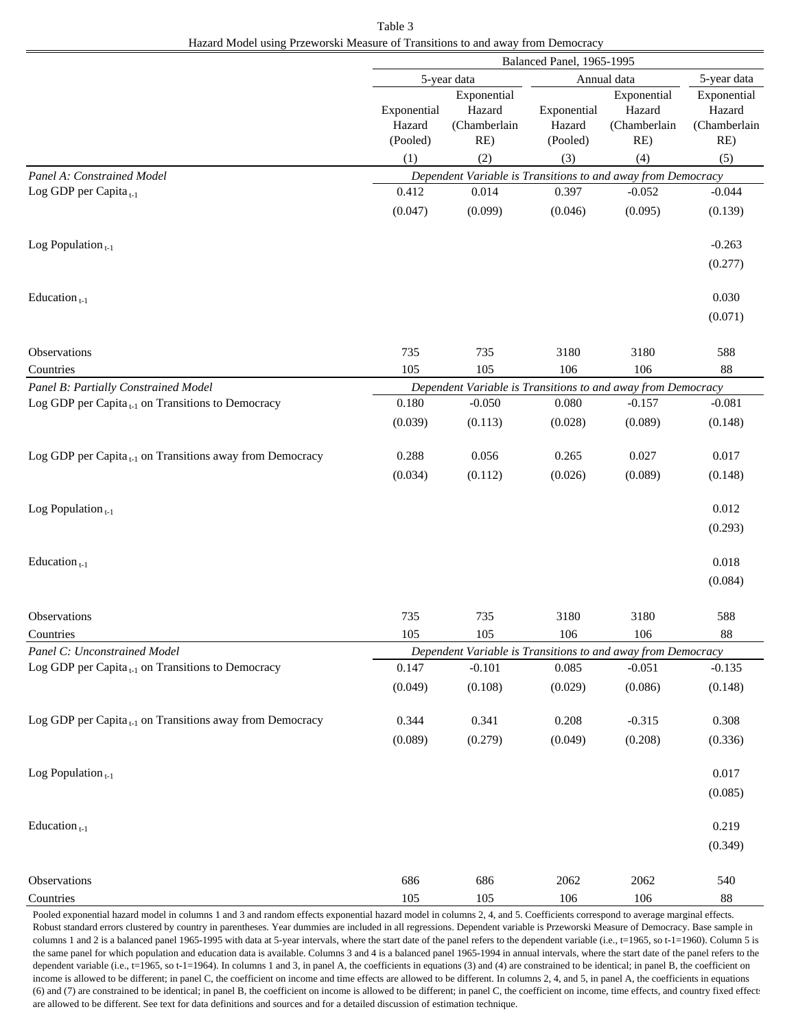| Table 3                                                                         |  |
|---------------------------------------------------------------------------------|--|
| Hazard Model using Przeworski Measure of Transitions to and away from Democracy |  |

|                                                                      | Balanced Panel, 1965-1995 |                                                              |             |              |              |  |
|----------------------------------------------------------------------|---------------------------|--------------------------------------------------------------|-------------|--------------|--------------|--|
|                                                                      |                           | 5-year data                                                  |             | Annual data  | 5-year data  |  |
|                                                                      |                           | Exponential                                                  |             | Exponential  | Exponential  |  |
|                                                                      | Exponential               | Hazard                                                       | Exponential | Hazard       | Hazard       |  |
|                                                                      | Hazard                    | (Chamberlain                                                 | Hazard      | (Chamberlain | (Chamberlain |  |
|                                                                      | (Pooled)                  | RE)                                                          | (Pooled)    | RE)          | RE)          |  |
|                                                                      | (1)                       | (2)                                                          | (3)         | (4)          | (5)          |  |
| Panel A: Constrained Model                                           |                           | Dependent Variable is Transitions to and away from Democracy |             |              |              |  |
| Log GDP per Capita <sub>t-1</sub>                                    | 0.412                     | 0.014                                                        | 0.397       | $-0.052$     | $-0.044$     |  |
|                                                                      | (0.047)                   | (0.099)                                                      | (0.046)     | (0.095)      | (0.139)      |  |
| Log Population $_{t-1}$                                              |                           |                                                              |             |              | $-0.263$     |  |
|                                                                      |                           |                                                              |             |              | (0.277)      |  |
| Education $_{t-1}$                                                   |                           |                                                              |             |              | 0.030        |  |
|                                                                      |                           |                                                              |             |              | (0.071)      |  |
| Observations                                                         | 735                       | 735                                                          | 3180        | 3180         | 588          |  |
| Countries                                                            | 105                       | 105                                                          | 106         | 106          | 88           |  |
| Panel B: Partially Constrained Model                                 |                           | Dependent Variable is Transitions to and away from Democracy |             |              |              |  |
| Log GDP per Capita <sub>t-1</sub> on Transitions to Democracy        | 0.180                     | $-0.050$                                                     | 0.080       | $-0.157$     | $-0.081$     |  |
|                                                                      | (0.039)                   | (0.113)                                                      | (0.028)     | (0.089)      | (0.148)      |  |
| Log GDP per Capita <sub>t-1</sub> on Transitions away from Democracy | 0.288                     | 0.056                                                        | 0.265       | 0.027        | 0.017        |  |
|                                                                      | (0.034)                   | (0.112)                                                      | (0.026)     | (0.089)      | (0.148)      |  |
| Log Population $_{t-1}$                                              |                           |                                                              |             |              | 0.012        |  |
|                                                                      |                           |                                                              |             |              | (0.293)      |  |
| Education $_{t-1}$                                                   |                           |                                                              |             |              | 0.018        |  |
|                                                                      |                           |                                                              |             |              | (0.084)      |  |
| Observations                                                         | 735                       | 735                                                          | 3180        | 3180         | 588          |  |
| Countries                                                            | 105                       | 105                                                          | 106         | 106          | $88\,$       |  |
| Panel C: Unconstrained Model                                         |                           | Dependent Variable is Transitions to and away from Democracy |             |              |              |  |
| Log GDP per Capita <sub>t-1</sub> on Transitions to Democracy        | 0.147                     | $-0.101$                                                     | 0.085       | $-0.051$     | $-0.135$     |  |
|                                                                      | (0.049)                   | (0.108)                                                      | (0.029)     | (0.086)      | (0.148)      |  |
| Log GDP per Capita <sub>t-1</sub> on Transitions away from Democracy | 0.344                     | 0.341                                                        | 0.208       | $-0.315$     | 0.308        |  |
|                                                                      | (0.089)                   | (0.279)                                                      | (0.049)     | (0.208)      | (0.336)      |  |
| Log Population $_{t-1}$                                              |                           |                                                              |             |              | 0.017        |  |
|                                                                      |                           |                                                              |             |              | (0.085)      |  |
| Education $_{t-1}$                                                   |                           |                                                              |             |              | 0.219        |  |
|                                                                      |                           |                                                              |             |              | (0.349)      |  |
| Observations                                                         | 686                       | 686                                                          | 2062        | 2062         | 540          |  |
| Countries                                                            | 105                       | 105                                                          | 106         | 106          | $88\,$       |  |

Pooled exponential hazard model in columns 1 and 3 and random effects exponential hazard model in columns 2, 4, and 5. Coefficients correspond to average marginal effects. Robust standard errors clustered by country in parentheses. Year dummies are included in all regressions. Dependent variable is Przeworski Measure of Democracy. Base sample in columns 1 and 2 is a balanced panel 1965-1995 with data at 5-year intervals, where the start date of the panel refers to the dependent variable (i.e., t=1965, so t-1=1960). Column 5 is the same panel for which population and education data is available. Columns 3 and 4 is a balanced panel 1965-1994 in annual intervals, where the start date of the panel refers to the dependent variable (i.e., t=1965, so t-1=1964). In columns 1 and 3, in panel A, the coefficients in equations (3) and (4) are constrained to be identical; in panel B, the coefficient on income is allowed to be different; in panel C, the coefficient on income and time effects are allowed to be different. In columns 2, 4, and 5, in panel A, the coefficients in equations (6) and (7) are constrained to be identical; in panel B, the coefficient on income is allowed to be different; in panel C, the coefficient on income, time effects, and country fixed effects are allowed to be different. See text for data definitions and sources and for a detailed discussion of estimation technique.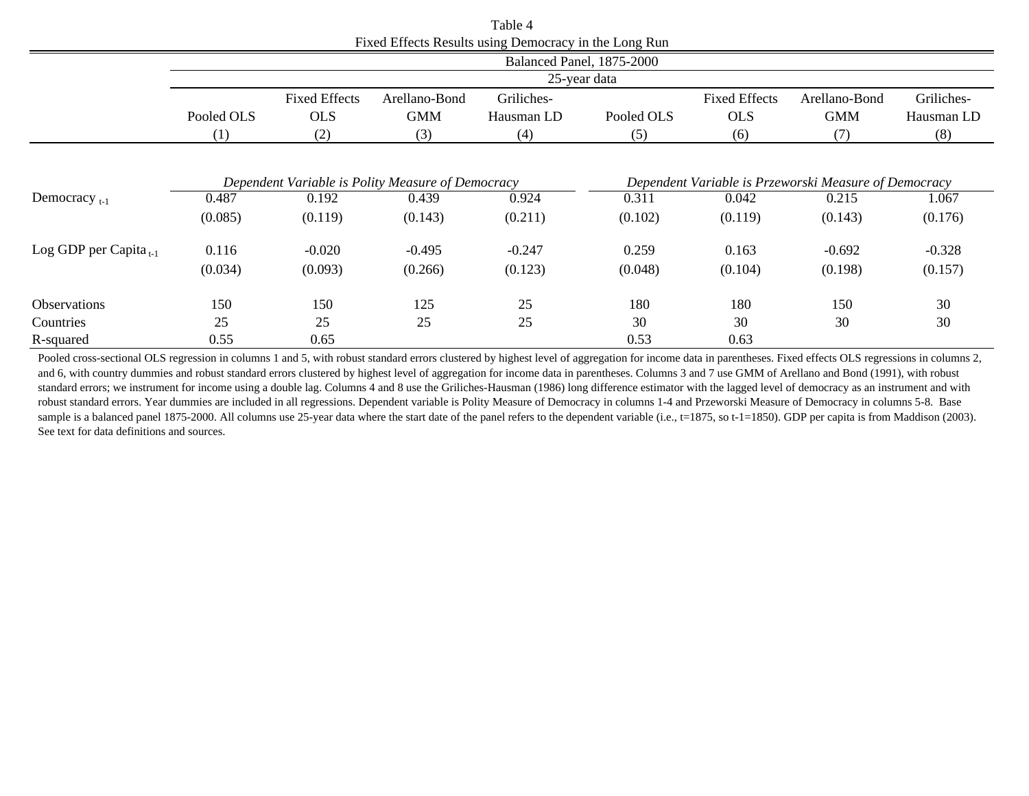|                                   |            |                      |                                                   | Fixed Effects Results using Democracy in the Long Run |                      |            |                                                       |            |
|-----------------------------------|------------|----------------------|---------------------------------------------------|-------------------------------------------------------|----------------------|------------|-------------------------------------------------------|------------|
|                                   |            |                      |                                                   | Balanced Panel, 1875-2000                             |                      |            |                                                       |            |
|                                   |            |                      |                                                   | 25-year data                                          |                      |            |                                                       |            |
|                                   |            | <b>Fixed Effects</b> | Arellano-Bond                                     | Griliches-                                            | <b>Fixed Effects</b> |            | Arellano-Bond                                         | Griliches- |
|                                   | Pooled OLS | <b>OLS</b>           | <b>GMM</b>                                        | Hausman LD                                            | Pooled OLS           | <b>OLS</b> | <b>GMM</b>                                            | Hausman LD |
|                                   | (1)        | (2)                  | (3)                                               | (4)                                                   | (5)                  | (6)        | (7)                                                   | (8)        |
|                                   |            |                      |                                                   |                                                       |                      |            |                                                       |            |
|                                   |            |                      | Dependent Variable is Polity Measure of Democracy |                                                       |                      |            | Dependent Variable is Przeworski Measure of Democracy |            |
| Democracy $_{t-1}$                | 0.487      | 0.192                | 0.439                                             | 0.924                                                 | 0.311                | 0.042      | 0.215                                                 | 1.067      |
|                                   | (0.085)    | (0.119)              | (0.143)                                           | (0.211)                                               | (0.102)              | (0.119)    | (0.143)                                               | (0.176)    |
| Log GDP per Capita <sub>t-1</sub> | 0.116      | $-0.020$             | $-0.495$                                          | $-0.247$                                              | 0.259                | 0.163      | $-0.692$                                              | $-0.328$   |
|                                   | (0.034)    | (0.093)              | (0.266)                                           | (0.123)                                               | (0.048)              | (0.104)    | (0.198)                                               | (0.157)    |
| <b>Observations</b>               | 150        | 150                  | 125                                               | 25                                                    | 180                  | 180        | 150                                                   | 30         |
| Countries                         | 25         | 25                   | 25                                                | 25                                                    | 30                   | 30         | 30                                                    | 30         |
| R-squared                         | 0.55       | 0.65                 |                                                   |                                                       | 0.53                 | 0.63       |                                                       |            |

Table 4

Pooled cross-sectional OLS regression in columns 1 and 5, with robust standard errors clustered by highest level of aggregation for income data in parentheses. Fixed effects OLS regressions in columns 2, and 6, with country dummies and robust standard errors clustered by highest level of aggregation for income data in parentheses. Columns 3 and 7 use GMM of Arellano and Bond (1991), with robust standard errors; we instrument for income using a double lag. Columns 4 and 8 use the Griliches-Hausman (1986) long difference estimator with the lagged level of democracy as an instrument and with robust standard errors. Year dummies are included in all regressions. Dependent variable is Polity Measure of Democracy in columns 1-4 and Przeworski Measure of Democracy in columns 5-8. Base sample is a balanced panel 1875-2000. All columns use 25-year data where the start date of the panel refers to the dependent variable (i.e., t=1875, so t-1=1850). GDP per capita is from Maddison (2003). See text for data definitions and sources.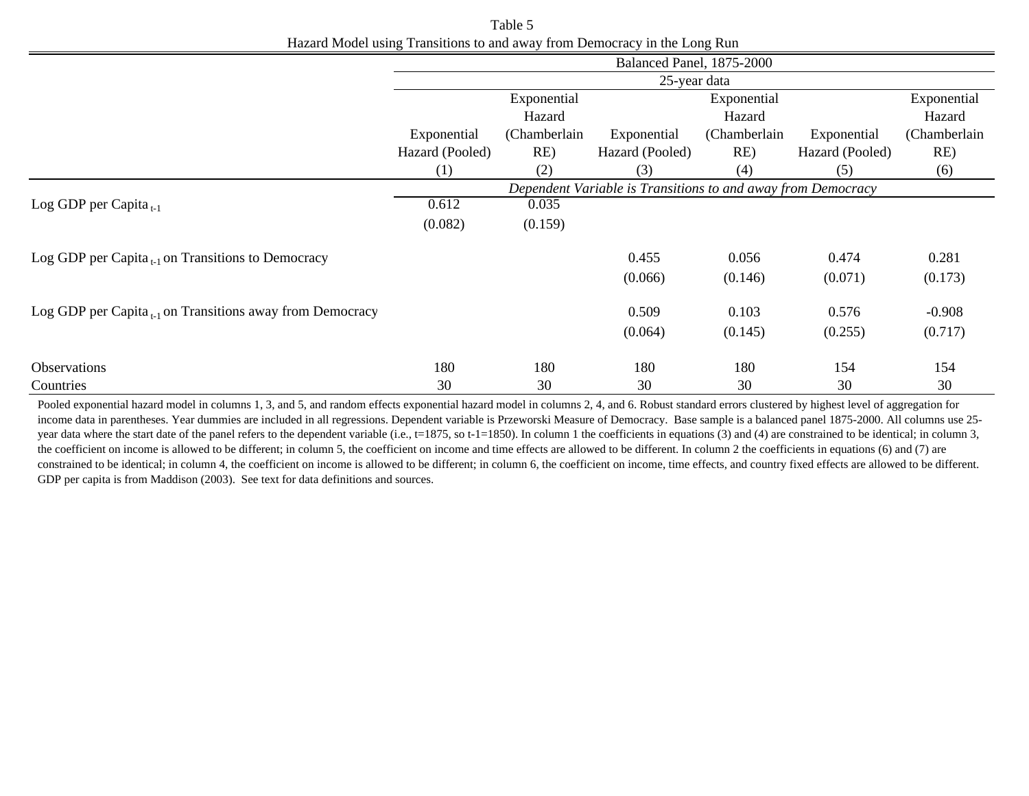|                                                                      | Balanced Panel, 1875-2000<br>25-year data                    |              |                 |              |                 |              |  |
|----------------------------------------------------------------------|--------------------------------------------------------------|--------------|-----------------|--------------|-----------------|--------------|--|
|                                                                      |                                                              |              |                 |              |                 |              |  |
|                                                                      |                                                              | Exponential  |                 | Exponential  |                 | Exponential  |  |
|                                                                      |                                                              | Hazard       |                 | Hazard       |                 |              |  |
|                                                                      | Exponential                                                  | (Chamberlain | Exponential     | (Chamberlain | Exponential     | (Chamberlain |  |
|                                                                      | Hazard (Pooled)                                              | RE)          | Hazard (Pooled) | RE)          | Hazard (Pooled) | RE)          |  |
|                                                                      | (1)                                                          | (2)          | (3)             | (4)          | (5)             | (6)          |  |
|                                                                      | Dependent Variable is Transitions to and away from Democracy |              |                 |              |                 |              |  |
| Log GDP per Capita <sub>t-1</sub>                                    | 0.612                                                        | 0.035        |                 |              |                 |              |  |
|                                                                      | (0.082)                                                      | (0.159)      |                 |              |                 |              |  |
| Log GDP per Capita <sub>t-1</sub> on Transitions to Democracy        |                                                              |              | 0.455           | 0.056        | 0.474           | 0.281        |  |
|                                                                      |                                                              |              | (0.066)         | (0.146)      | (0.071)         | (0.173)      |  |
| Log GDP per Capita <sub>t-1</sub> on Transitions away from Democracy |                                                              |              | 0.509           | 0.103        | 0.576           | $-0.908$     |  |
|                                                                      |                                                              |              | (0.064)         | (0.145)      | (0.255)         | (0.717)      |  |
| <b>Observations</b>                                                  | 180                                                          | 180          | 180             | 180          | 154             | 154          |  |
| Countries                                                            | 30                                                           | 30           | 30              | 30           | 30              | 30           |  |

Table 5Hazard Model using Transitions to and away from Democracy in the Long Run

Pooled exponential hazard model in columns 1, 3, and 5, and random effects exponential hazard model in columns 2, 4, and 6. Robust standard errors clustered by highest level of aggregation for income data in parentheses. Year dummies are included in all regressions. Dependent variable is Przeworski Measure of Democracy. Base sample is a balanced panel 1875-2000. All columns use 25year data where the start date of the panel refers to the dependent variable (i.e., t=1875, so t-1=1850). In column 1 the coefficients in equations (3) and (4) are constrained to be identical; in column 3, the coefficient on income is allowed to be different; in column 5, the coefficient on income and time effects are allowed to be different. In column 2 the coefficients in equations (6) and (7) are constrained to be identical; in column 4, the coefficient on income is allowed to be different; in column 6, the coefficient on income, time effects, and country fixed effects are allowed to be different. GDP per capita is from Maddison (2003). See text for data definitions and sources.